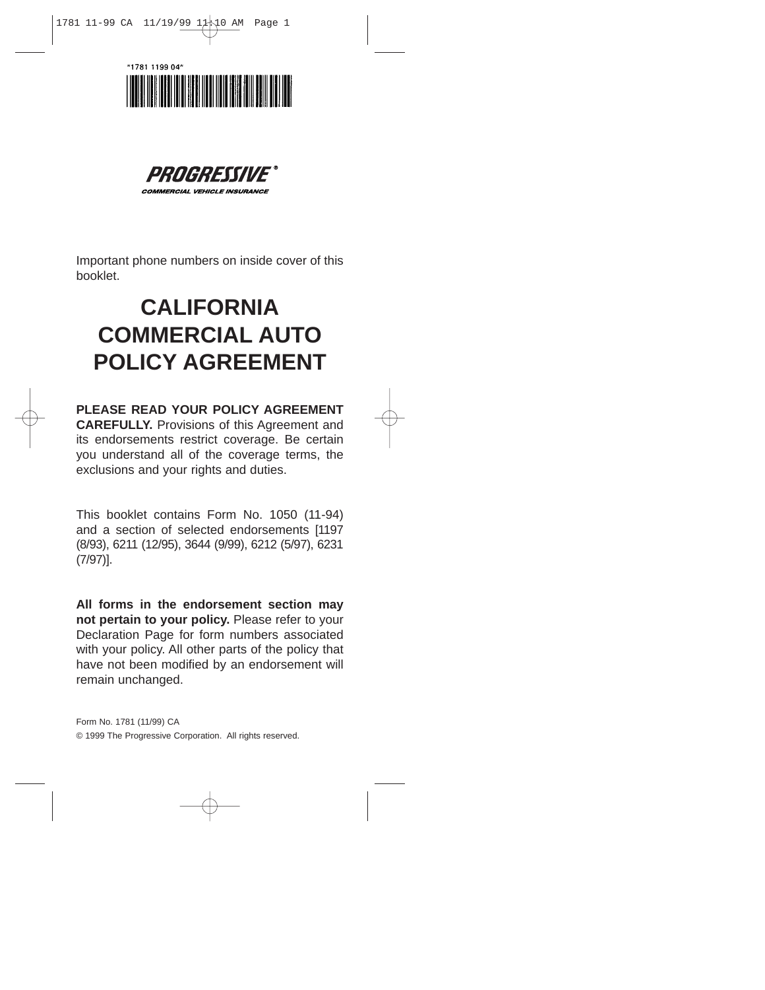



*COMMERCIAL VEHICLE INSURANCE* 

Important phone numbers on inside cover of this booklet.

# **CALIFORNIA COMMERCIAL AUTO POLICY AGREEMENT**

**PLEASE READ YOUR POLICY AGREEMENT CAREFULLY.** Provisions of this Agreement and its endorsements restrict coverage. Be certain you understand all of the coverage terms, the exclusions and your rights and duties.

This booklet contains Form No. 1050 (11-94) and a section of selected endorsements [1197 (8/93), 6211 (12/95), 3644 (9/99), 6212 (5/97), 6231 (7/97)].

**All forms in the endorsement section may not pertain to your policy.** Please refer to your Declaration Page for form numbers associated with your policy. All other parts of the policy that have not been modified by an endorsement will remain unchanged.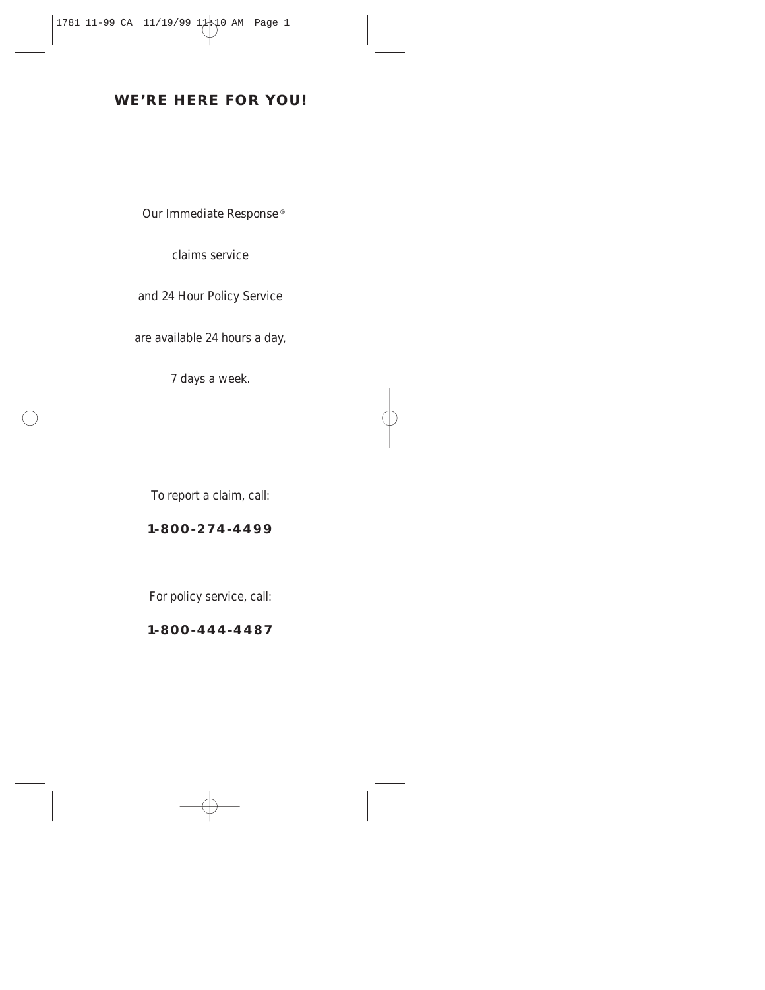# **WE'RE HERE FOR YOU!**

Our Immediate Response ®

claims service

and 24 Hour Policy Service

are available 24 hours a day,

7 days a week.

To report a claim, call:

# **1-800-274-4499**

For policy service, call:

**1-800-444-4487**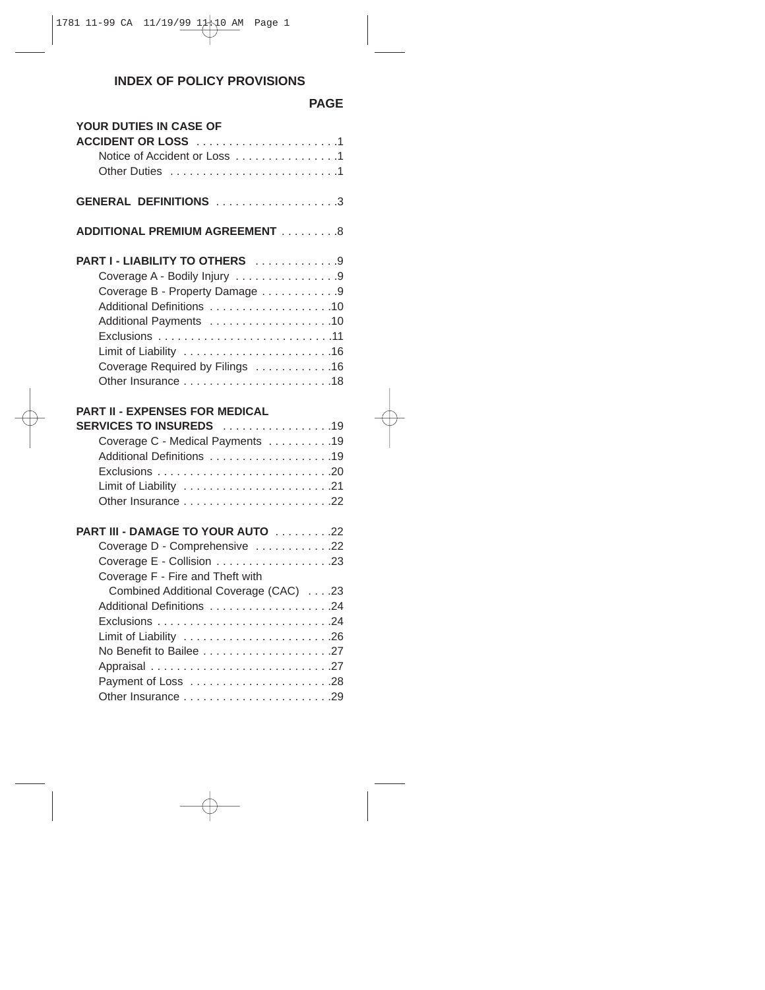# **INDEX OF POLICY PROVISIONS**

# **PAGE**

| YOUR DUTIES IN CASE OF<br>ACCIDENT OR LOSS 1<br>Notice of Accident or Loss 1                                                                                                               |  |
|--------------------------------------------------------------------------------------------------------------------------------------------------------------------------------------------|--|
| <b>GENERAL DEFINITIONS</b> 3                                                                                                                                                               |  |
| <b>ADDITIONAL PREMIUM AGREEMENT 8</b>                                                                                                                                                      |  |
| PART I - LIABILITY TO OTHERS 9<br>Coverage A - Bodily Injury 9<br>Coverage B - Property Damage 9<br>Additional Definitions 10<br>Additional Payments 10<br>Coverage Required by Filings 16 |  |
| <b>PART II - EXPENSES FOR MEDICAL</b><br>SERVICES TO INSUREDS 19<br>Coverage C - Medical Payments 19<br>Additional Definitions 19                                                          |  |
| PART III - DAMAGE TO YOUR AUTO 22<br>Coverage D - Comprehensive 22<br>Coverage F - Fire and Theft with<br>Combined Additional Coverage (CAC) 23                                            |  |
|                                                                                                                                                                                            |  |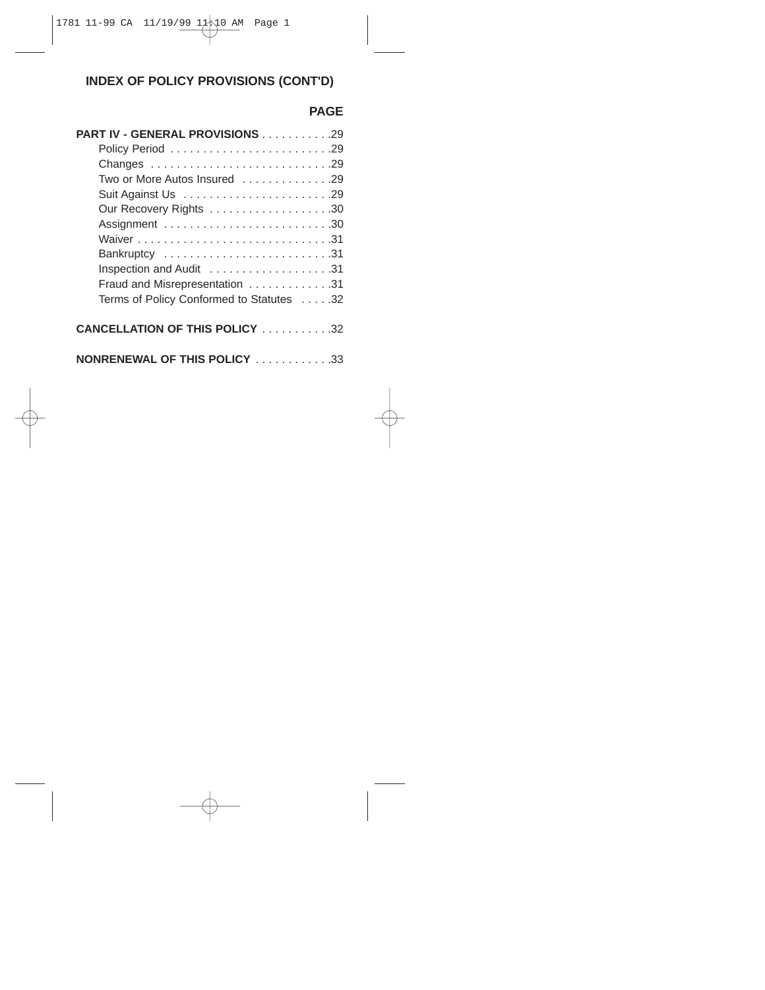# **INDEX OF POLICY PROVISIONS (CONT'D)**

# **PAGE**

| <b>PART IV - GENERAL PROVISIONS 29</b>   |
|------------------------------------------|
|                                          |
|                                          |
| Two or More Autos Insured 29             |
|                                          |
|                                          |
|                                          |
|                                          |
| Bankruptcy 31                            |
|                                          |
| Fraud and Misrepresentation 31           |
| Terms of Policy Conformed to Statutes 32 |
|                                          |
| <b>CANCELLATION OF THIS POLICY</b> 32    |
|                                          |
| <b>NONRENEWAL OF THIS POLICY</b> 33      |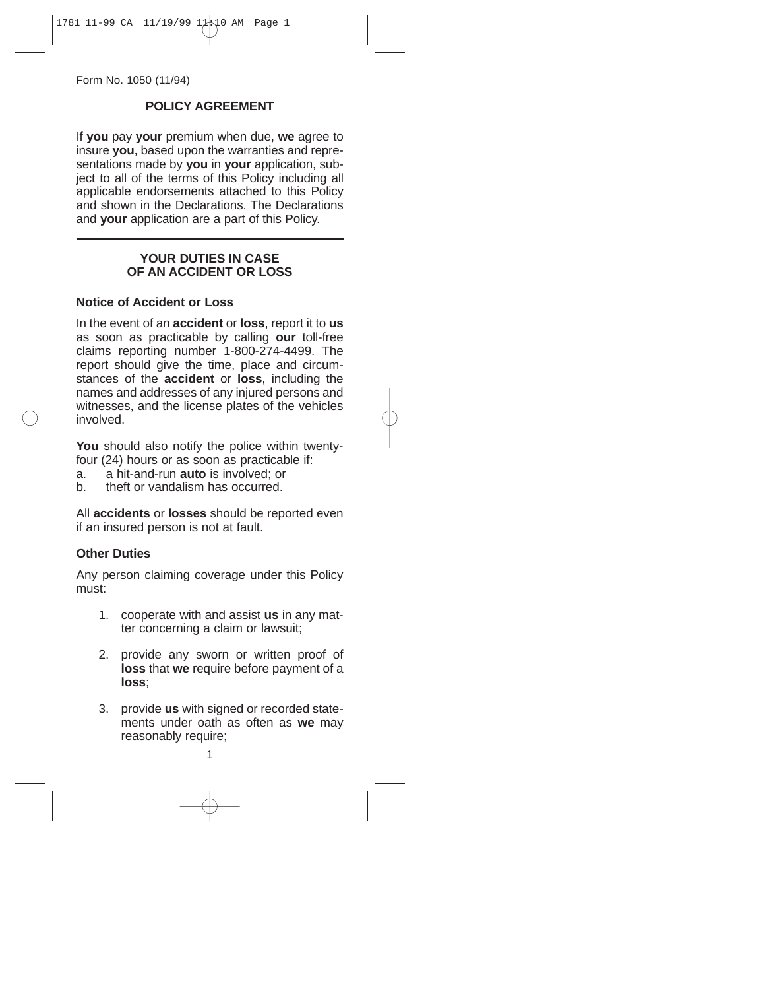Form No. 1050 (11/94)

# **POLICY AGREEMENT**

If **you** pay **your** premium when due, **we** agree to insure **you**, based upon the warranties and representations made by **you** in **your** application, subiect to all of the terms of this Policy including all applicable endorsements attached to this Policy and shown in the Declarations. The Declarations and **your** application are a part of this Policy.

## **YOUR DUTIES IN CASE OF AN ACCIDENT OR LOSS**

## **Notice of Accident or Loss**

In the event of an **accident** or **loss**, report it to **us** as soon as practicable by calling **our** toll-free claims reporting number 1-800-274-4499. The report should give the time, place and circumstances of the **accident** or **loss**, including the names and addresses of any injured persons and witnesses, and the license plates of the vehicles involved.

You should also notify the police within twentyfour (24) hours or as soon as practicable if:

a. a hit-and-run **auto** is involved: or

b. theft or vandalism has occurred.

All **accidents** or **losses** should be reported even if an insured person is not at fault.

#### **Other Duties**

Any person claiming coverage under this Policy must:

- 1. cooperate with and assist **us** in any matter concerning a claim or lawsuit;
- 2. provide any sworn or written proof of **loss** that **we** require before payment of a **loss**;
- 3. provide **us** with signed or recorded statements under oath as often as **we** may reasonably require;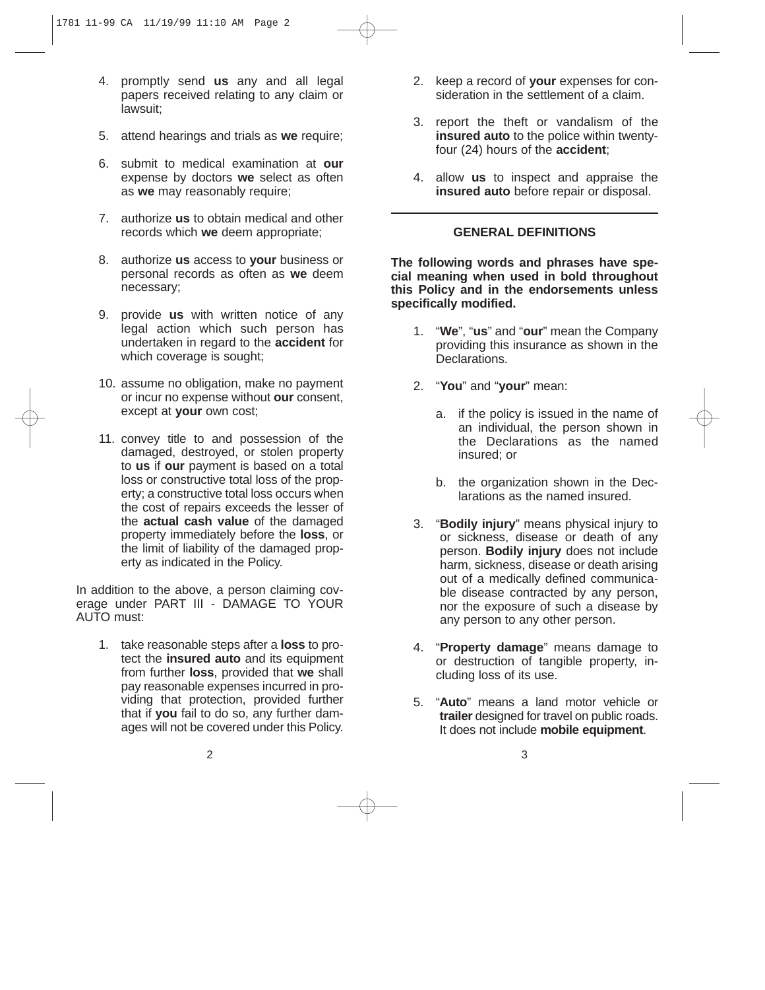- 4. promptly send **us** any and all legal papers received relating to any claim or lawsuit;
- 5. attend hearings and trials as **we** require;
- 6. submit to medical examination at **our** expense by doctors **we** select as often as **we** may reasonably require;
- 7. authorize **us** to obtain medical and other records which **we** deem appropriate;
- 8. authorize **us** access to **your** business or personal records as often as **we** deem necessary;
- 9. provide **us** with written notice of any legal action which such person has undertaken in regard to the **accident** for which coverage is sought;
- 10. assume no obligation, make no payment or incur no expense without **our** consent, except at **your** own cost;
- 11. convey title to and possession of the damaged, destroyed, or stolen property to **us** if **our** payment is based on a total loss or constructive total loss of the property; a constructive total loss occurs when the cost of repairs exceeds the lesser of the **actual cash value** of the damaged property immediately before the **loss**, or the limit of liability of the damaged property as indicated in the Policy.

In addition to the above, a person claiming coverage under PART III - DAMAGE TO YOUR AUTO must:

1. take reasonable steps after a **loss** to protect the **insured auto** and its equipment from further **loss**, provided that **we** shall pay reasonable expenses incurred in providing that protection, provided further that if **you** fail to do so, any further damages will not be covered under this Policy.

- 2. keep a record of **your** expenses for consideration in the settlement of a claim.
- 3. report the theft or vandalism of the **insured auto** to the police within twentyfour (24) hours of the **accident**;
- 4. allow **us** to inspect and appraise the **insured auto** before repair or disposal.

# **GENERAL DEFINITIONS**

**The following words and phrases have special meaning when used in bold throughout this Policy and in the endorsements unless specifically modified.**

- 1. "**We**", "**us**" and "**our**" mean the Company providing this insurance as shown in the Declarations.
- 2. "**You**" and "**your**" mean:
	- a. if the policy is issued in the name of an individual, the person shown in the Declarations as the named insured; or
	- b. the organization shown in the Declarations as the named insured.
- 3. "**Bodily injury**" means physical injury to or sickness, disease or death of any person. **Bodily injury** does not include harm, sickness, disease or death arising out of a medically defined communicable disease contracted by any person, nor the exposure of such a disease by any person to any other person.
- 4. "**Property damage**" means damage to or destruction of tangible property, including loss of its use.
- 5. "**Auto**" means a land motor vehicle or **trailer** designed for travel on public roads. It does not include **mobile equipment**.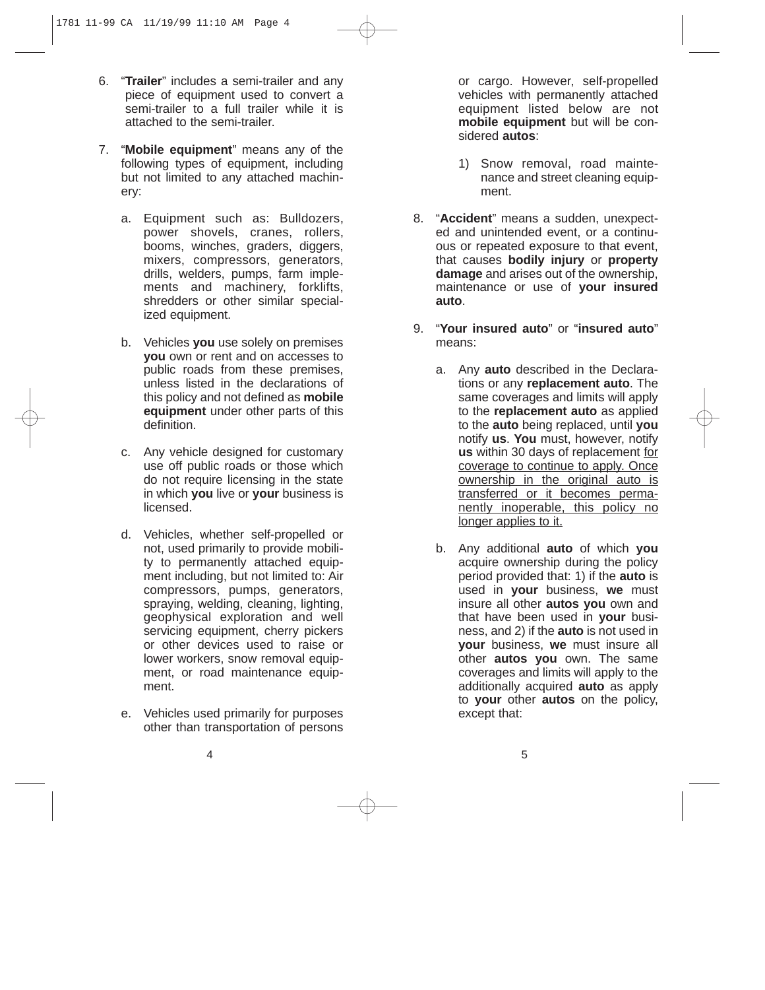- 6. "**Trailer**" includes a semi-trailer and any piece of equipment used to convert a semi-trailer to a full trailer while it is attached to the semi-trailer.
- 7. "**Mobile equipment**" means any of the following types of equipment, including but not limited to any attached machinery:
	- a. Equipment such as: Bulldozers, power shovels, cranes, rollers, booms, winches, graders, diggers, mixers, compressors, generators, drills, welders, pumps, farm implements and machinery, forklifts, shredders or other similar specialized equipment.
	- b. Vehicles **you** use solely on premises **you** own or rent and on accesses to public roads from these premises. unless listed in the declarations of this policy and not defined as **mobile equipment** under other parts of this definition.
	- c. Any vehicle designed for customary use off public roads or those which do not require licensing in the state in which **you** live or **your** business is licensed.
	- d. Vehicles, whether self-propelled or not, used primarily to provide mobility to permanently attached equipment including, but not limited to: Air compressors, pumps, generators, spraying, welding, cleaning, lighting, geophysical exploration and well servicing equipment, cherry pickers or other devices used to raise or lower workers, snow removal equipment, or road maintenance equipment.
	- e. Vehicles used primarily for purposes other than transportation of persons

or cargo. However, self-propelled vehicles with permanently attached equipment listed below are not **mobile equipment** but will be considered **autos**:

- 1) Snow removal, road maintenance and street cleaning equipment.
- 8. "**Accident**" means a sudden, unexpected and unintended event, or a continuous or repeated exposure to that event, that causes **bodily injury** or **property damage** and arises out of the ownership, maintenance or use of **your insured auto**.
- 9. "**Your insured auto**" or "**insured auto**" means:
	- a. Any **auto** described in the Declarations or any **replacement auto**. The same coverages and limits will apply to the **replacement auto** as applied to the **auto** being replaced, until **you** notify **us**. **You** must, however, notify **us** within 30 days of replacement for coverage to continue to apply. Once ownership in the original auto is transferred or it becomes permanently inoperable, this policy no longer applies to it.
	- b. Any additional **auto** of which **you** acquire ownership during the policy period provided that: 1) if the **auto** is used in **your** business, **we** must insure all other **autos you** own and that have been used in **your** business, and 2) if the **auto** is not used in **your** business, **we** must insure all other **autos you** own. The same coverages and limits will apply to the additionally acquired **auto** as apply to **your** other **autos** on the policy, except that: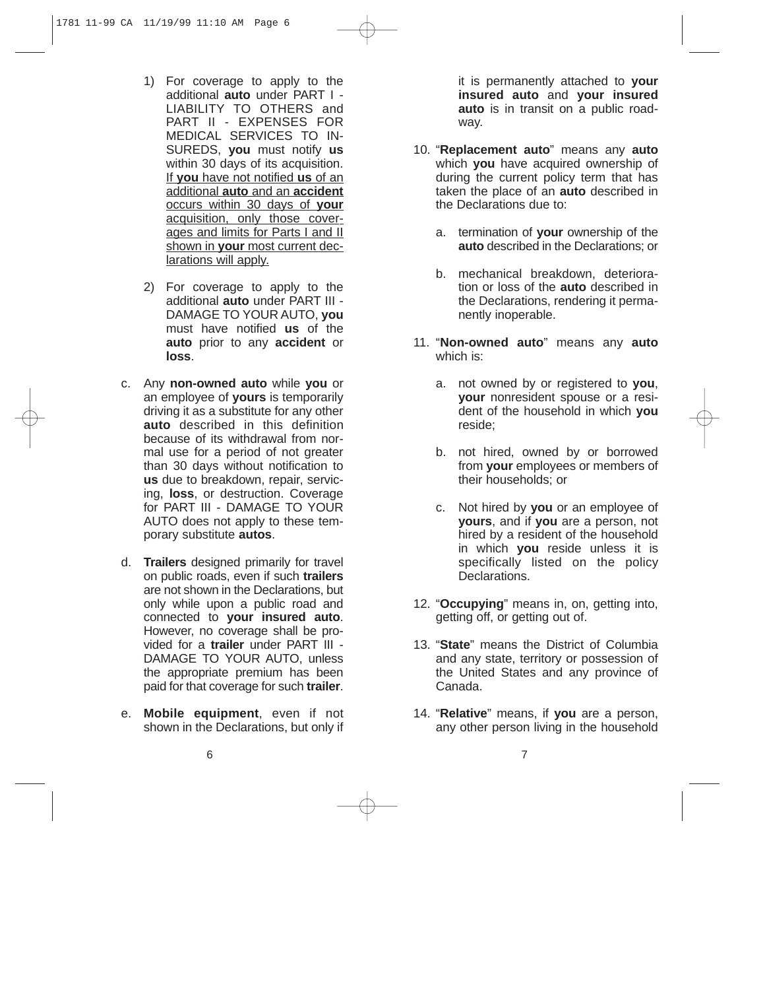- 1) For coverage to apply to the additional **auto** under PART I - LIABILITY TO OTHERS and PART II - EXPENSES FOR MEDICAL SERVICES TO IN-SUREDS, **you** must notify **us** within 30 days of its acquisition. If **you** have not notified **us** of an additional **auto** and an **accident** occurs within 30 days of **your** acquisition, only those coverages and limits for Parts I and II shown in **your** most current declarations will apply.
- 2) For coverage to apply to the additional **auto** under PART III - DAMAGE TO YOUR AUTO, **you** must have notified **us** of the **auto** prior to any **accident** or **loss**.
- c. Any **non-owned auto** while **you** or an employee of **yours** is temporarily driving it as a substitute for any other **auto** described in this definition because of its withdrawal from normal use for a period of not greater than 30 days without notification to **us** due to breakdown, repair, servicing, **loss**, or destruction. Coverage for PART III - DAMAGE TO YOUR AUTO does not apply to these temporary substitute **autos**.
- d. **Trailers** designed primarily for travel on public roads, even if such **trailers** are not shown in the Declarations, but only while upon a public road and connected to **your insured auto**. However, no coverage shall be provided for a **trailer** under PART III - DAMAGE TO YOUR AUTO, unless the appropriate premium has been paid for that coverage for such **trailer**.
- e. **Mobile equipment**, even if not shown in the Declarations, but only if

it is permanently attached to **your insured auto** and **your insured auto** is in transit on a public roadway.

- 10. "**Replacement auto**" means any **auto** which **you** have acquired ownership of during the current policy term that has taken the place of an **auto** described in the Declarations due to:
	- a. termination of **your** ownership of the **auto** described in the Declarations; or
	- b. mechanical breakdown, deterioration or loss of the **auto** described in the Declarations, rendering it permanently inoperable.
- 11. "**Non-owned auto**" means any **auto** which is:
	- a. not owned by or registered to **you**, **your** nonresident spouse or a resident of the household in which **you** reside;
	- b. not hired, owned by or borrowed from **your** employees or members of their households; or
	- c. Not hired by **you** or an employee of **yours**, and if **you** are a person, not hired by a resident of the household in which **you** reside unless it is specifically listed on the policy **Declarations**
- 12. "**Occupying**" means in, on, getting into, getting off, or getting out of.
- 13. "**State**" means the District of Columbia and any state, territory or possession of the United States and any province of Canada.
- 14. "**Relative**" means, if **you** are a person, any other person living in the household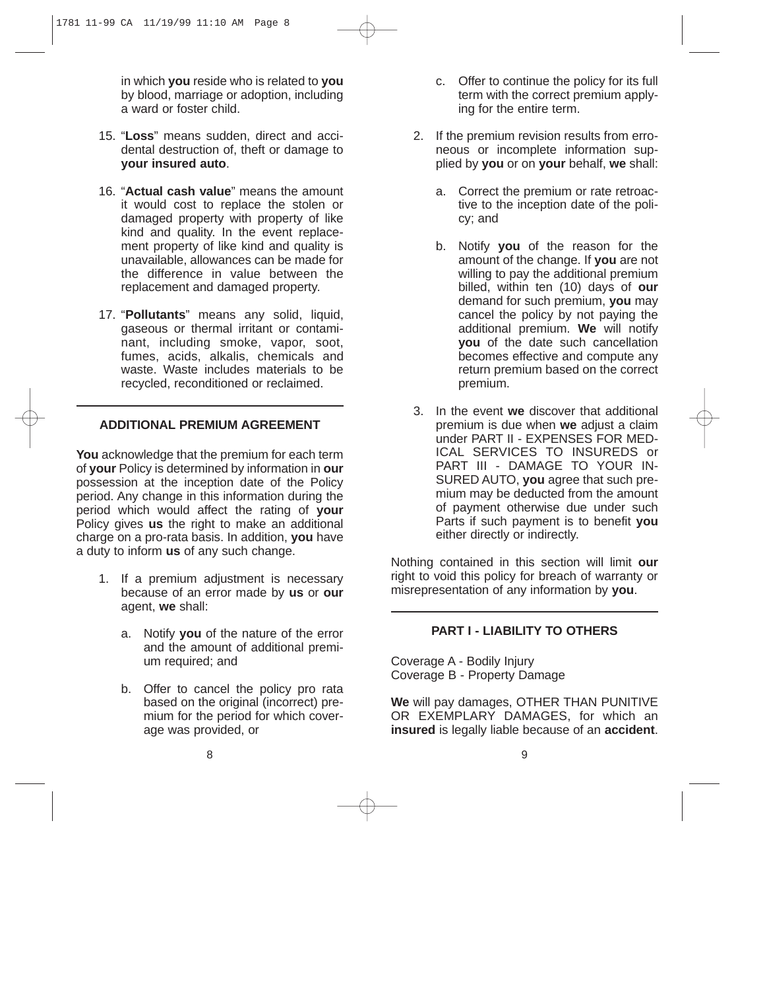in which **you** reside who is related to **you** by blood, marriage or adoption, including a ward or foster child.

- 15. "**Loss**" means sudden, direct and accidental destruction of, theft or damage to **your insured auto**.
- 16. "**Actual cash value**" means the amount it would cost to replace the stolen or damaged property with property of like kind and quality. In the event replacement property of like kind and quality is unavailable, allowances can be made for the difference in value between the replacement and damaged property.
- 17. "**Pollutants**" means any solid, liquid, gaseous or thermal irritant or contaminant, including smoke, vapor, soot, fumes, acids, alkalis, chemicals and waste. Waste includes materials to be recycled, reconditioned or reclaimed.

## **ADDITIONAL PREMIUM AGREEMENT**

**You** acknowledge that the premium for each term of **your** Policy is determined by information in **our** possession at the inception date of the Policy period. Any change in this information during the period which would affect the rating of **your** Policy gives **us** the right to make an additional charge on a pro-rata basis. In addition, **you** have a duty to inform **us** of any such change.

- 1. If a premium adjustment is necessary because of an error made by **us** or **our** agent, **we** shall:
	- a. Notify **you** of the nature of the error and the amount of additional premium required; and
	- b. Offer to cancel the policy pro rata based on the original (incorrect) premium for the period for which coverage was provided, or
- c. Offer to continue the policy for its full term with the correct premium applying for the entire term.
- 2. If the premium revision results from erroneous or incomplete information supplied by **you** or on **your** behalf, **we** shall:
	- a. Correct the premium or rate retroactive to the inception date of the policy; and
	- b. Notify **you** of the reason for the amount of the change. If **you** are not willing to pay the additional premium billed, within ten (10) days of **our** demand for such premium, **you** may cancel the policy by not paying the additional premium. **We** will notify **you** of the date such cancellation becomes effective and compute any return premium based on the correct premium.
- 3. In the event **we** discover that additional premium is due when **we** adjust a claim under PART II - EXPENSES FOR MED-ICAL SERVICES TO INSUREDS or PART III - DAMAGE TO YOUR IN-SURED AUTO, **you** agree that such premium may be deducted from the amount of payment otherwise due under such Parts if such payment is to benefit **you** either directly or indirectly.

Nothing contained in this section will limit **our** right to void this policy for breach of warranty or misrepresentation of any information by **you**.

#### **PART I - LIABILITY TO OTHERS**

Coverage A - Bodily Injury Coverage B - Property Damage

**We** will pay damages, OTHER THAN PUNITIVE OR EXEMPLARY DAMAGES, for which an **insured** is legally liable because of an **accident**.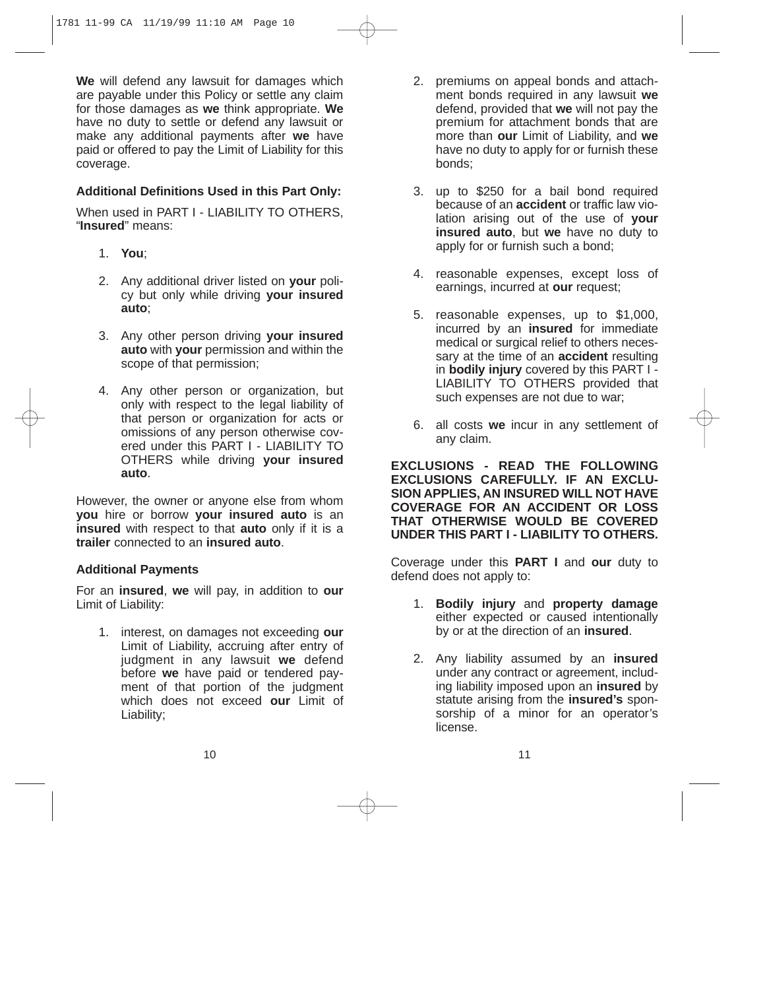**We** will defend any lawsuit for damages which are payable under this Policy or settle any claim for those damages as **we** think appropriate. **We** have no duty to settle or defend any lawsuit or make any additional payments after **we** have paid or offered to pay the Limit of Liability for this coverage.

# **Additional Definitions Used in this Part Only:**

When used in PART I - LIABILITY TO OTHERS, "**Insured**" means:

- 1. **You**;
- 2. Any additional driver listed on **your** policy but only while driving **your insured auto**;
- 3. Any other person driving **your insured auto** with **your** permission and within the scope of that permission;
- 4. Any other person or organization, but only with respect to the legal liability of that person or organization for acts or omissions of any person otherwise covered under this PART I - LIABILITY TO OTHERS while driving **your insured auto**.

However, the owner or anyone else from whom **you** hire or borrow **your insured auto** is an **insured** with respect to that **auto** only if it is a **trailer** connected to an **insured auto**.

## **Additional Payments**

For an **insured**, **we** will pay, in addition to **our** Limit of Liability:

1. interest, on damages not exceeding **our** Limit of Liability, accruing after entry of judgment in any lawsuit **we** defend before **we** have paid or tendered payment of that portion of the judgment which does not exceed **our** Limit of Liability;

- 2. premiums on appeal bonds and attachment bonds required in any lawsuit **we** defend, provided that **we** will not pay the premium for attachment bonds that are more than **our** Limit of Liability, and **we** have no duty to apply for or furnish these bonds;
- 3. up to \$250 for a bail bond required because of an **accident** or traffic law violation arising out of the use of **your insured auto**, but **we** have no duty to apply for or furnish such a bond;
- 4. reasonable expenses, except loss of earnings, incurred at **our** request;
- 5. reasonable expenses, up to \$1,000, incurred by an **insured** for immediate medical or surgical relief to others necessary at the time of an **accident** resulting in **bodily injury** covered by this PART I - LIABILITY TO OTHERS provided that such expenses are not due to war;
- 6. all costs **we** incur in any settlement of any claim.

**EXCLUSIONS - READ THE FOLLOWING EXCLUSIONS CAREFULLY. IF AN EXCLU-SION APPLIES, AN INSURED WILL NOT HAVE COVERAGE FOR AN ACCIDENT OR LOSS THAT OTHERWISE WOULD BE COVERED UNDER THIS PART I - LIABILITY TO OTHERS.**

Coverage under this **PART I** and **our** duty to defend does not apply to:

- 1. **Bodily injury** and **property damage** either expected or caused intentionally by or at the direction of an **insured**.
- 2. Any liability assumed by an **insured** under any contract or agreement, including liability imposed upon an **insured** by statute arising from the **insured's** sponsorship of a minor for an operator's license.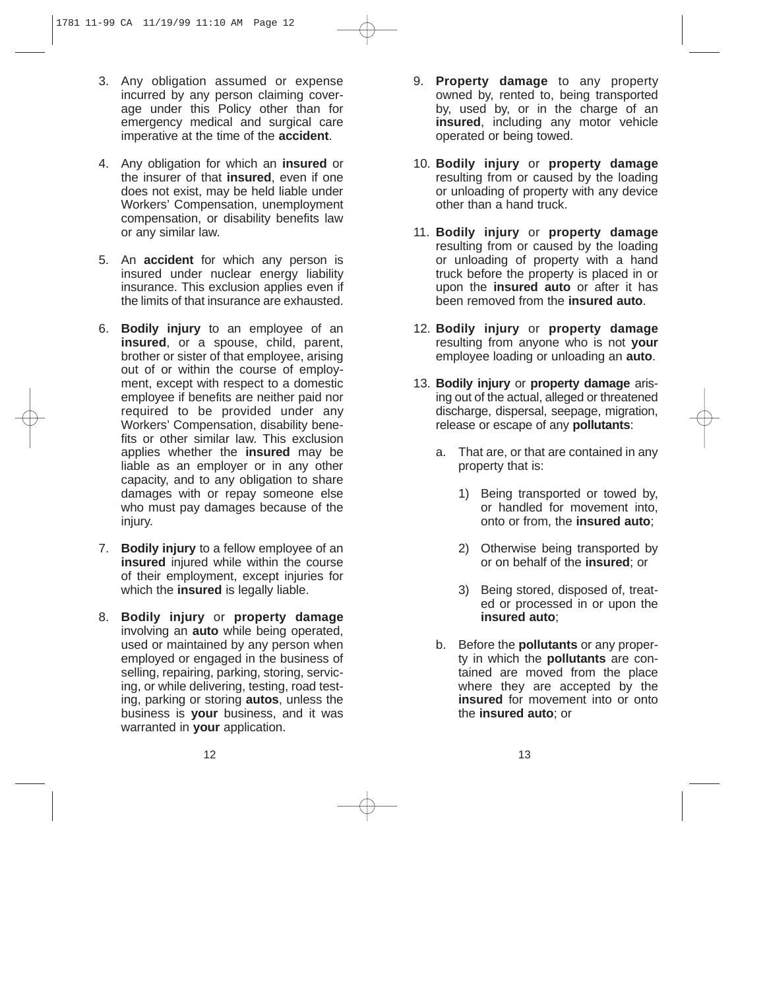- 3. Any obligation assumed or expense incurred by any person claiming coverage under this Policy other than for emergency medical and surgical care imperative at the time of the **accident**.
- 4. Any obligation for which an **insured** or the insurer of that **insured**, even if one does not exist, may be held liable under Workers' Compensation, unemployment compensation, or disability benefits law or any similar law.
- 5. An **accident** for which any person is insured under nuclear energy liability insurance. This exclusion applies even if the limits of that insurance are exhausted.
- 6. **Bodily injury** to an employee of an **insured**, or a spouse, child, parent, brother or sister of that employee, arising out of or within the course of employment, except with respect to a domestic employee if benefits are neither paid nor required to be provided under any Workers' Compensation, disability benefits or other similar law. This exclusion applies whether the **insured** may be liable as an employer or in any other capacity, and to any obligation to share damages with or repay someone else who must pay damages because of the injury.
- 7. **Bodily injury** to a fellow employee of an **insured** injured while within the course of their employment, except injuries for which the **insured** is legally liable.
- 8. **Bodily injury** or **property damage** involving an **auto** while being operated, used or maintained by any person when employed or engaged in the business of selling, repairing, parking, storing, servicing, or while delivering, testing, road testing, parking or storing **autos**, unless the business is **your** business, and it was warranted in **your** application.
- 9. **Property damage** to any property owned by, rented to, being transported by, used by, or in the charge of an **insured**, including any motor vehicle operated or being towed.
- 10. **Bodily injury** or **property damage** resulting from or caused by the loading or unloading of property with any device other than a hand truck.
- 11. **Bodily injury** or **property damage** resulting from or caused by the loading or unloading of property with a hand truck before the property is placed in or upon the **insured auto** or after it has been removed from the **insured auto**.
- 12. **Bodily injury** or **property damage** resulting from anyone who is not **your** employee loading or unloading an **auto**.
- 13. **Bodily injury** or **property damage** arising out of the actual, alleged or threatened discharge, dispersal, seepage, migration, release or escape of any **pollutants**:
	- a. That are, or that are contained in any property that is:
		- 1) Being transported or towed by, or handled for movement into, onto or from, the **insured auto**;
		- 2) Otherwise being transported by or on behalf of the **insured**; or
		- 3) Being stored, disposed of, treated or processed in or upon the **insured auto**;
	- b. Before the **pollutants** or any property in which the **pollutants** are contained are moved from the place where they are accepted by the **insured** for movement into or onto the **insured auto**; or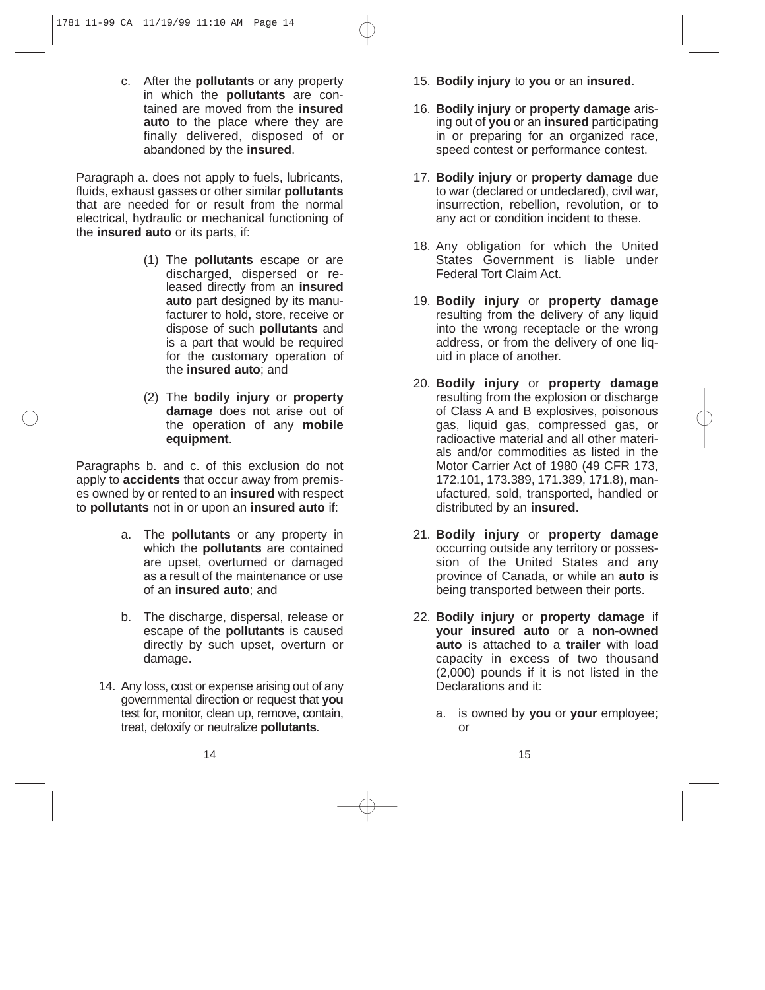c. After the **pollutants** or any property in which the **pollutants** are contained are moved from the **insured auto** to the place where they are finally delivered, disposed of or abandoned by the **insured**.

Paragraph a. does not apply to fuels, lubricants, fluids, exhaust gasses or other similar **pollutants** that are needed for or result from the normal electrical, hydraulic or mechanical functioning of the **insured auto** or its parts, if:

- (1) The **pollutants** escape or are discharged, dispersed or released directly from an **insured auto** part designed by its manufacturer to hold, store, receive or dispose of such **pollutants** and is a part that would be required for the customary operation of the **insured auto**; and
- (2) The **bodily injury** or **property damage** does not arise out of the operation of any **mobile equipment**.

Paragraphs b. and c. of this exclusion do not apply to **accidents** that occur away from premises owned by or rented to an **insured** with respect to **pollutants** not in or upon an **insured auto** if:

- a. The **pollutants** or any property in which the **pollutants** are contained are upset, overturned or damaged as a result of the maintenance or use of an **insured auto**; and
- b. The discharge, dispersal, release or escape of the **pollutants** is caused directly by such upset, overturn or damage.
- 14. Any loss, cost or expense arising out of any governmental direction or request that **you** test for, monitor, clean up, remove, contain, treat, detoxify or neutralize **pollutants**.
- 15. **Bodily injury** to **you** or an **insured**.
- 16. **Bodily injury** or **property damage** arising out of **you** or an **insured** participating in or preparing for an organized race, speed contest or performance contest.
- 17. **Bodily injury** or **property damage** due to war (declared or undeclared), civil war, insurrection, rebellion, revolution, or to any act or condition incident to these.
- 18. Any obligation for which the United States Government is liable under Federal Tort Claim Act.
- 19. **Bodily injury** or **property damage** resulting from the delivery of any liquid into the wrong receptacle or the wrong address, or from the delivery of one liquid in place of another.
- 20. **Bodily injury** or **property damage** resulting from the explosion or discharge of Class A and B explosives, poisonous gas, liquid gas, compressed gas, or radioactive material and all other materials and/or commodities as listed in the Motor Carrier Act of 1980 (49 CFR 173, 172.101, 173.389, 171.389, 171.8), manufactured, sold, transported, handled or distributed by an **insured**.
- 21. **Bodily injury** or **property damage** occurring outside any territory or possession of the United States and any province of Canada, or while an **auto** is being transported between their ports.
- 22. **Bodily injury** or **property damage** if **your insured auto** or a **non-owned auto** is attached to a **trailer** with load capacity in excess of two thousand (2,000) pounds if it is not listed in the Declarations and it:
	- a. is owned by **you** or **your** employee; or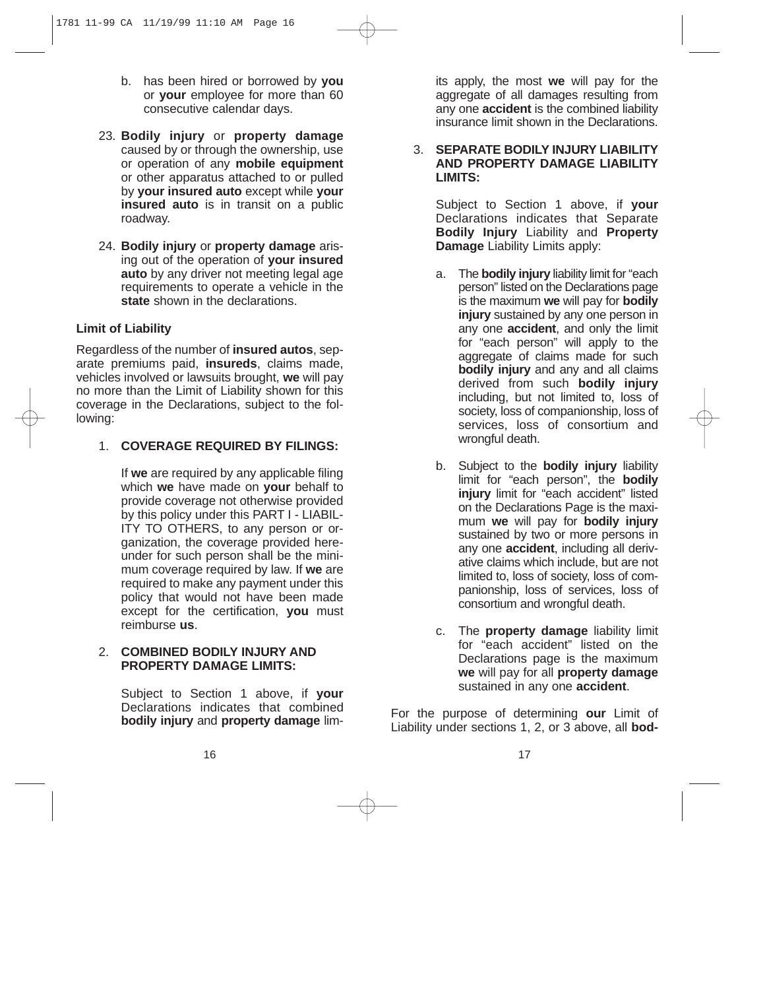- b. has been hired or borrowed by **you** or **your** employee for more than 60 consecutive calendar days.
- 23. **Bodily injury** or **property damage** caused by or through the ownership, use or operation of any **mobile equipment** or other apparatus attached to or pulled by **your insured auto** except while **your insured auto** is in transit on a public roadway.
- 24. **Bodily injury** or **property damage** arising out of the operation of **your insured auto** by any driver not meeting legal age requirements to operate a vehicle in the **state** shown in the declarations.

# **Limit of Liability**

Regardless of the number of **insured autos**, separate premiums paid, **insureds**, claims made, vehicles involved or lawsuits brought, **we** will pay no more than the Limit of Liability shown for this coverage in the Declarations, subject to the following:

1. **COVERAGE REQUIRED BY FILINGS:**

If **we** are required by any applicable filing which **we** have made on **your** behalf to provide coverage not otherwise provided by this policy under this PART I - LIABIL-ITY TO OTHERS, to any person or organization, the coverage provided hereunder for such person shall be the minimum coverage required by law. If **we** are required to make any payment under this policy that would not have been made except for the certification, **you** must reimburse **us**.

#### 2. **COMBINED BODILY INJURY AND PROPERTY DAMAGE LIMITS:**

Subject to Section 1 above, if **your** Declarations indicates that combined **bodily injury** and **property damage** limits apply, the most **we** will pay for the aggregate of all damages resulting from any one **accident** is the combined liability insurance limit shown in the Declarations.

#### 3. **SEPARATE BODILY INJURY LIABILITY AND PROPERTY DAMAGE LIABILITY LIMITS:**

Subject to Section 1 above, if **your** Declarations indicates that Separate **Bodily Injury** Liability and **Property Damage** Liability Limits apply:

- a. The **bodily injury** liability limit for "each person" listed on the Declarations page is the maximum **we** will pay for **bodily injury** sustained by any one person in any one **accident**, and only the limit for "each person" will apply to the aggregate of claims made for such **bodily injury** and any and all claims derived from such **bodily injury** including, but not limited to, loss of society, loss of companionship, loss of services, loss of consortium and wrongful death.
- b. Subject to the **bodily injury** liability limit for "each person", the **bodily injury** limit for "each accident" listed on the Declarations Page is the maximum **we** will pay for **bodily injury** sustained by two or more persons in any one **accident**, including all derivative claims which include, but are not limited to, loss of society, loss of companionship, loss of services, loss of consortium and wrongful death.
- c. The **property damage** liability limit for "each accident" listed on the Declarations page is the maximum **we** will pay for all **property damage** sustained in any one **accident**.

For the purpose of determining **our** Limit of Liability under sections 1, 2, or 3 above, all **bod-**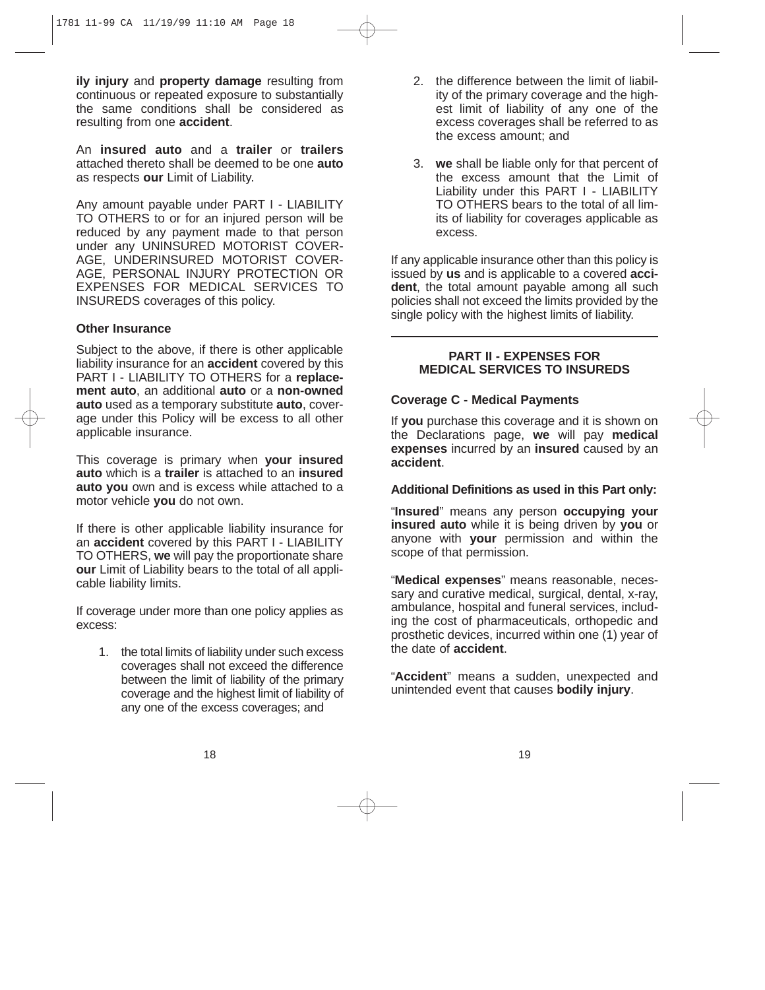**ily injury** and **property damage** resulting from continuous or repeated exposure to substantially the same conditions shall be considered as resulting from one **accident**.

An **insured auto** and a **trailer** or **trailers** attached thereto shall be deemed to be one **auto** as respects **our** Limit of Liability.

Any amount payable under PART I - LIABILITY TO OTHERS to or for an injured person will be reduced by any payment made to that person under any UNINSURED MOTORIST COVER-AGE, UNDERINSURED MOTORIST COVER-AGE, PERSONAL INJURY PROTECTION OR EXPENSES FOR MEDICAL SERVICES TO INSUREDS coverages of this policy.

#### **Other Insurance**

Subject to the above, if there is other applicable liability insurance for an **accident** covered by this PART I - LIABILITY TO OTHERS for a **replacement auto**, an additional **auto** or a **non-owned auto** used as a temporary substitute **auto**, coverage under this Policy will be excess to all other applicable insurance.

This coverage is primary when **your insured auto** which is a **trailer** is attached to an **insured auto you** own and is excess while attached to a motor vehicle **you** do not own.

If there is other applicable liability insurance for an **accident** covered by this PART I - LIABILITY TO OTHERS, **we** will pay the proportionate share **our** Limit of Liability bears to the total of all applicable liability limits.

If coverage under more than one policy applies as excess:

1. the total limits of liability under such excess coverages shall not exceed the difference between the limit of liability of the primary coverage and the highest limit of liability of any one of the excess coverages; and

- 2. the difference between the limit of liability of the primary coverage and the highest limit of liability of any one of the excess coverages shall be referred to as the excess amount; and
- 3. **we** shall be liable only for that percent of the excess amount that the Limit of Liability under this PART I - LIABILITY TO OTHERS bears to the total of all limits of liability for coverages applicable as excess.

If any applicable insurance other than this policy is issued by **us** and is applicable to a covered **accident**, the total amount payable among all such policies shall not exceed the limits provided by the single policy with the highest limits of liability.

#### **PART II - EXPENSES FOR MEDICAL SERVICES TO INSUREDS**

#### **Coverage C - Medical Payments**

If **you** purchase this coverage and it is shown on the Declarations page, **we** will pay **medical expenses** incurred by an **insured** caused by an **accident**.

#### **Additional Definitions as used in this Part only:**

"**Insured**" means any person **occupying your insured auto** while it is being driven by **you** or anyone with **your** permission and within the scope of that permission.

"**Medical expenses**" means reasonable, necessary and curative medical, surgical, dental, x-ray, ambulance, hospital and funeral services, including the cost of pharmaceuticals, orthopedic and prosthetic devices, incurred within one (1) year of the date of **accident**.

"**Accident**" means a sudden, unexpected and unintended event that causes **bodily injury**.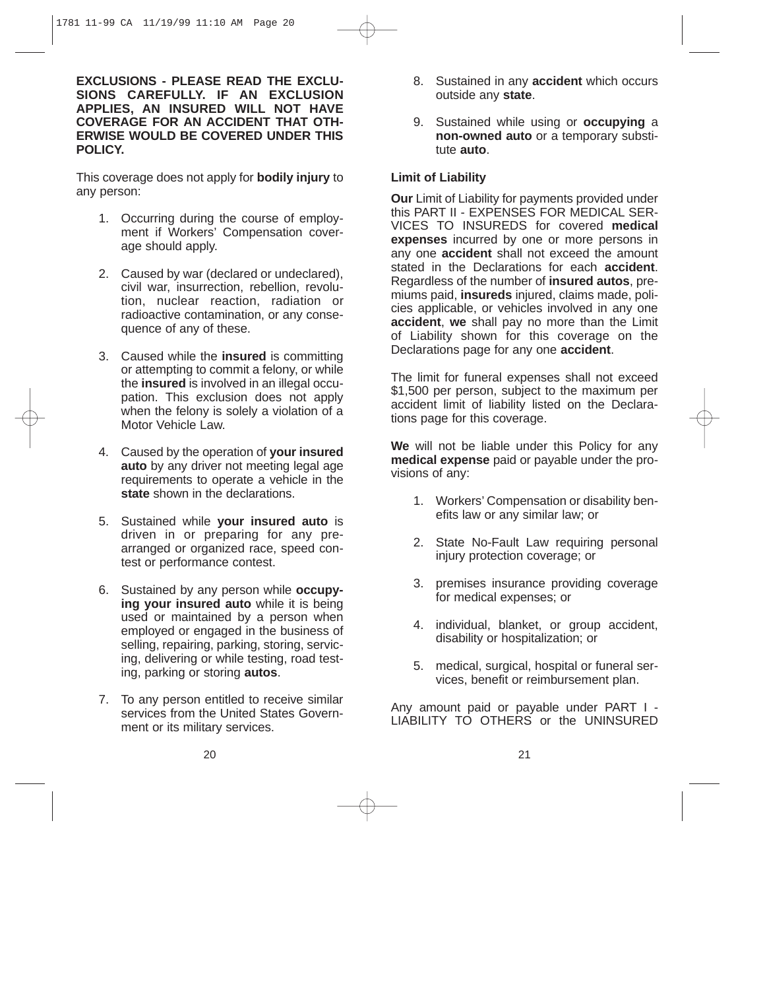**EXCLUSIONS - PLEASE READ THE EXCLU-SIONS CAREFULLY. IF AN EXCLUSION APPLIES, AN INSURED WILL NOT HAVE COVERAGE FOR AN ACCIDENT THAT OTH-ERWISE WOULD BE COVERED UNDER THIS POLICY.**

This coverage does not apply for **bodily injury** to any person:

- 1. Occurring during the course of employment if Workers' Compensation coverage should apply.
- 2. Caused by war (declared or undeclared), civil war, insurrection, rebellion, revolution, nuclear reaction, radiation or radioactive contamination, or any consequence of any of these.
- 3. Caused while the **insured** is committing or attempting to commit a felony, or while the **insured** is involved in an illegal occupation. This exclusion does not apply when the felony is solely a violation of a Motor Vehicle Law.
- 4. Caused by the operation of **your insured auto** by any driver not meeting legal age requirements to operate a vehicle in the **state** shown in the declarations.
- 5. Sustained while **your insured auto** is driven in or preparing for any prearranged or organized race, speed contest or performance contest.
- 6. Sustained by any person while **occupying your insured auto** while it is being used or maintained by a person when employed or engaged in the business of selling, repairing, parking, storing, servicing, delivering or while testing, road testing, parking or storing **autos**.
- 7. To any person entitled to receive similar services from the United States Government or its military services.
- 8. Sustained in any **accident** which occurs outside any **state**.
- 9. Sustained while using or **occupying** a **non-owned auto** or a temporary substitute **auto**.

# **Limit of Liability**

**Our** Limit of Liability for payments provided under this PART II - EXPENSES FOR MEDICAL SER-VICES TO INSUREDS for covered **medical expenses** incurred by one or more persons in any one **accident** shall not exceed the amount stated in the Declarations for each **accident**. Regardless of the number of **insured autos**, premiums paid, **insureds** injured, claims made, policies applicable, or vehicles involved in any one **accident**, **we** shall pay no more than the Limit of Liability shown for this coverage on the Declarations page for any one **accident**.

The limit for funeral expenses shall not exceed \$1,500 per person, subject to the maximum per accident limit of liability listed on the Declarations page for this coverage.

**We** will not be liable under this Policy for any **medical expense** paid or payable under the provisions of any:

- 1. Workers' Compensation or disability benefits law or any similar law; or
- 2. State No-Fault Law requiring personal injury protection coverage; or
- 3. premises insurance providing coverage for medical expenses; or
- 4. individual, blanket, or group accident, disability or hospitalization; or
- 5. medical, surgical, hospital or funeral services, benefit or reimbursement plan.

Any amount paid or payable under PART I - LIABILITY TO OTHERS or the UNINSURED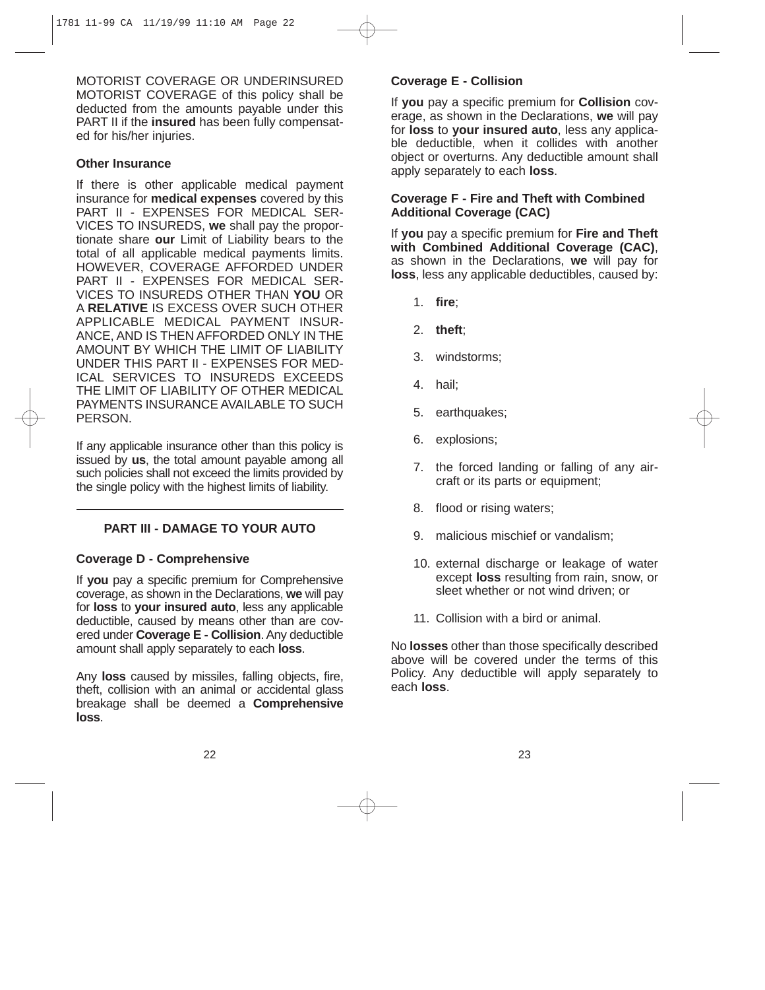MOTORIST COVERAGE OR UNDERINSURED MOTORIST COVERAGE of this policy shall be deducted from the amounts payable under this PART II if the **insured** has been fully compensated for his/her injuries.

#### **Other Insurance**

If there is other applicable medical payment insurance for **medical expenses** covered by this PART II - EXPENSES FOR MEDICAL SER-VICES TO INSUREDS, **we** shall pay the proportionate share **our** Limit of Liability bears to the total of all applicable medical payments limits. HOWEVER, COVERAGE AFFORDED UNDER PART II - EXPENSES FOR MEDICAL SER-VICES TO INSUREDS OTHER THAN **YOU** OR A **RELATIVE** IS EXCESS OVER SUCH OTHER APPLICABLE MEDICAL PAYMENT INSUR-ANCE, AND IS THEN AFFORDED ONLY IN THE AMOUNT BY WHICH THE LIMIT OF LIABILITY UNDER THIS PART II - EXPENSES FOR MED-ICAL SERVICES TO INSUREDS EXCEEDS THE LIMIT OF LIABILITY OF OTHER MEDICAL PAYMENTS INSURANCE AVAILABLE TO SUCH **PERSON.** 

If any applicable insurance other than this policy is issued by **us**, the total amount payable among all such policies shall not exceed the limits provided by the single policy with the highest limits of liability.

## **PART III - DAMAGE TO YOUR AUTO**

## **Coverage D - Comprehensive**

If **you** pay a specific premium for Comprehensive coverage, as shown in the Declarations, **we** will pay for **loss** to **your insured auto**, less any applicable deductible, caused by means other than are covered under **Coverage E - Collision**. Any deductible amount shall apply separately to each **loss**.

Any **loss** caused by missiles, falling objects, fire, theft, collision with an animal or accidental glass breakage shall be deemed a **Comprehensive loss**.

# **Coverage E - Collision**

If **you** pay a specific premium for **Collision** coverage, as shown in the Declarations, **we** will pay for **loss** to **your insured auto**, less any applicable deductible, when it collides with another object or overturns. Any deductible amount shall apply separately to each **loss**.

# **Coverage F - Fire and Theft with Combined Additional Coverage (CAC)**

If **you** pay a specific premium for **Fire and Theft with Combined Additional Coverage (CAC)**, as shown in the Declarations, **we** will pay for **loss**, less any applicable deductibles, caused by:

- 1. **fire**;
- 2. **theft**;
- 3. windstorms;
- 4. hail;
- 5. earthquakes;
- 6. explosions;
- 7. the forced landing or falling of any aircraft or its parts or equipment;
- 8. flood or rising waters;
- 9. malicious mischief or vandalism;
- 10. external discharge or leakage of water except **loss** resulting from rain, snow, or sleet whether or not wind driven; or
- 11. Collision with a bird or animal.

No **losses** other than those specifically described above will be covered under the terms of this Policy. Any deductible will apply separately to each **loss**.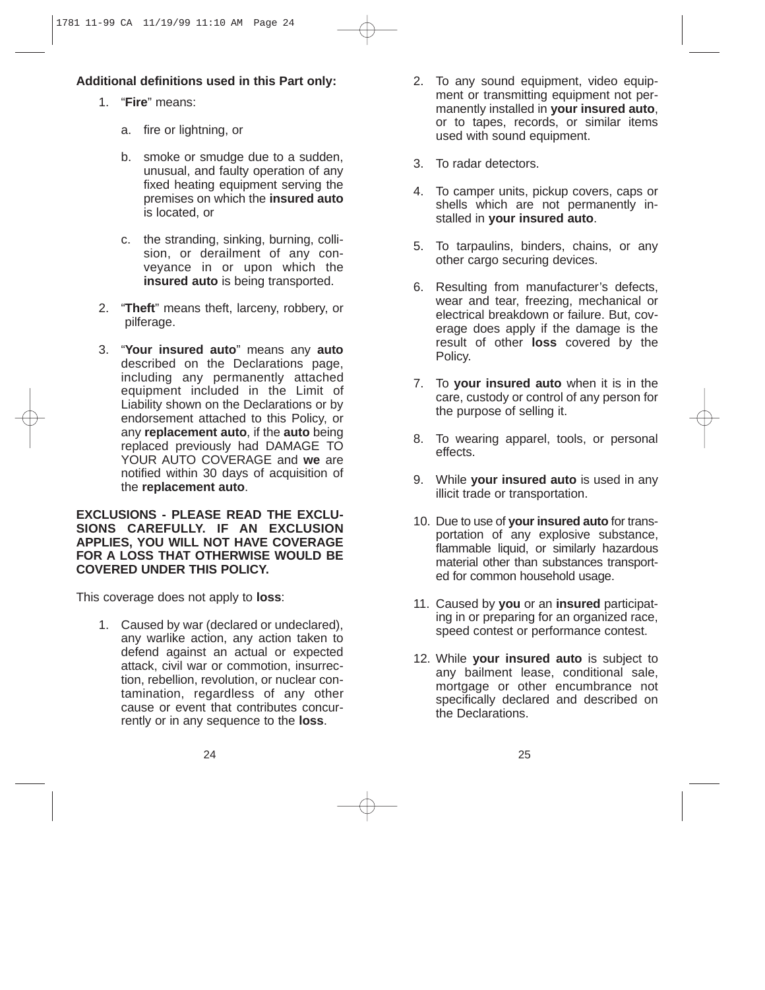# **Additional definitions used in this Part only:**

- 1. "**Fire**" means:
	- a. fire or lightning, or
	- b. smoke or smudge due to a sudden, unusual, and faulty operation of any fixed heating equipment serving the premises on which the **insured auto** is located, or
	- c. the stranding, sinking, burning, collision, or derailment of any conveyance in or upon which the **insured auto** is being transported.
- 2. "**Theft**" means theft, larceny, robbery, or pilferage.
- 3. "**Your insured auto**" means any **auto** described on the Declarations page, including any permanently attached equipment included in the Limit of Liability shown on the Declarations or by endorsement attached to this Policy, or any **replacement auto**, if the **auto** being replaced previously had DAMAGE TO YOUR AUTO COVERAGE and **we** are notified within 30 days of acquisition of the **replacement auto**.

#### **EXCLUSIONS - PLEASE READ THE EXCLU-SIONS CAREFULLY. IF AN EXCLUSION APPLIES, YOU WILL NOT HAVE COVERAGE FOR A LOSS THAT OTHERWISE WOULD BE COVERED UNDER THIS POLICY.**

This coverage does not apply to **loss**:

1. Caused by war (declared or undeclared), any warlike action, any action taken to defend against an actual or expected attack, civil war or commotion, insurrection, rebellion, revolution, or nuclear contamination, regardless of any other cause or event that contributes concurrently or in any sequence to the **loss**.

- 2. To any sound equipment, video equipment or transmitting equipment not permanently installed in **your insured auto**, or to tapes, records, or similar items used with sound equipment.
- 3. To radar detectors.
- 4. To camper units, pickup covers, caps or shells which are not permanently installed in **your insured auto**.
- 5. To tarpaulins, binders, chains, or any other cargo securing devices.
- 6. Resulting from manufacturer's defects, wear and tear, freezing, mechanical or electrical breakdown or failure. But, coverage does apply if the damage is the result of other **loss** covered by the Policy.
- 7. To **your insured auto** when it is in the care, custody or control of any person for the purpose of selling it.
- 8. To wearing apparel, tools, or personal effects.
- 9. While **your insured auto** is used in any illicit trade or transportation.
- 10. Due to use of **your insured auto** for transportation of any explosive substance, flammable liquid, or similarly hazardous material other than substances transported for common household usage.
- 11. Caused by **you** or an **insured** participating in or preparing for an organized race, speed contest or performance contest.
- 12. While **your insured auto** is subject to any bailment lease, conditional sale, mortgage or other encumbrance not specifically declared and described on the Declarations.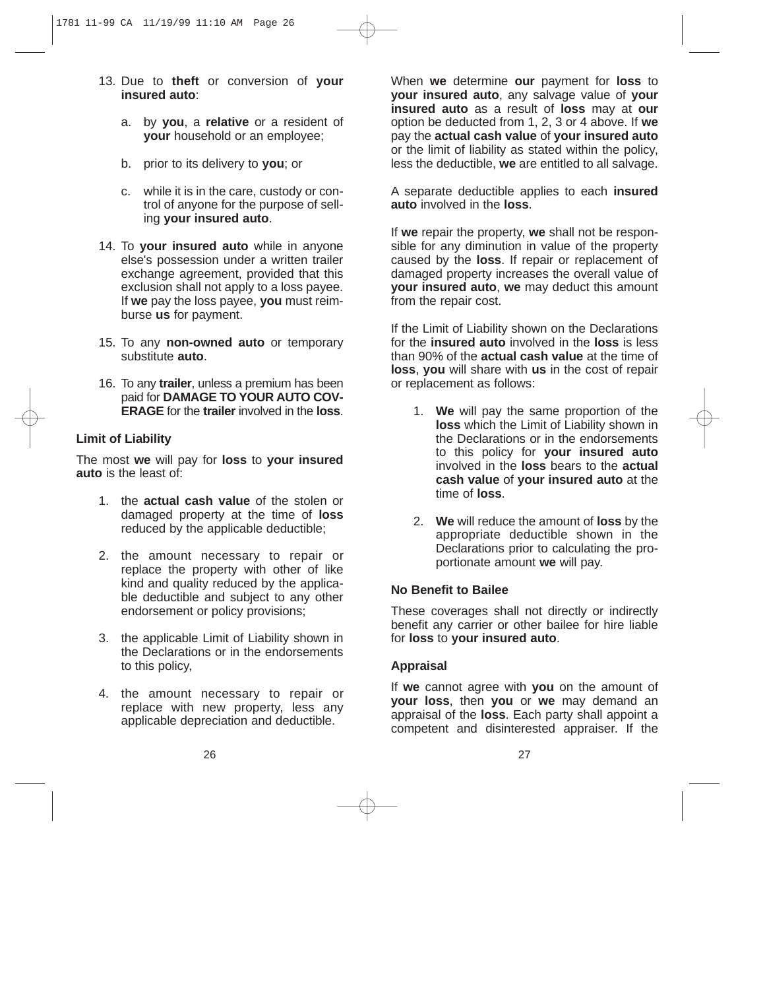- 13. Due to **theft** or conversion of **your insured auto**:
	- a. by **you**, a **relative** or a resident of **your** household or an employee;
	- b. prior to its delivery to **you**; or
	- c. while it is in the care, custody or control of anyone for the purpose of selling **your insured auto**.
- 14. To **your insured auto** while in anyone else's possession under a written trailer exchange agreement, provided that this exclusion shall not apply to a loss payee. If **we** pay the loss payee, **you** must reimburse **us** for payment.
- 15. To any **non-owned auto** or temporary substitute **auto**.
- 16. To any **trailer**, unless a premium has been paid for **DAMAGE TO YOUR AUTO COV-ERAGE** for the **trailer** involved in the **loss**.

## **Limit of Liability**

The most **we** will pay for **loss** to **your insured auto** is the least of:

- 1. the **actual cash value** of the stolen or damaged property at the time of **loss** reduced by the applicable deductible;
- 2. the amount necessary to repair or replace the property with other of like kind and quality reduced by the applicable deductible and subject to any other endorsement or policy provisions;
- 3. the applicable Limit of Liability shown in the Declarations or in the endorsements to this policy,
- 4. the amount necessary to repair or replace with new property, less any applicable depreciation and deductible.

When **we** determine **our** payment for **loss** to **your insured auto**, any salvage value of **your insured auto** as a result of **loss** may at **our** option be deducted from 1, 2, 3 or 4 above. If **we** pay the **actual cash value** of **your insured auto** or the limit of liability as stated within the policy, less the deductible, **we** are entitled to all salvage.

A separate deductible applies to each **insured auto** involved in the **loss**.

If **we** repair the property, **we** shall not be responsible for any diminution in value of the property caused by the **loss**. If repair or replacement of damaged property increases the overall value of **your insured auto**, **we** may deduct this amount from the repair cost.

If the Limit of Liability shown on the Declarations for the **insured auto** involved in the **loss** is less than 90% of the **actual cash value** at the time of **loss**, **you** will share with **us** in the cost of repair or replacement as follows:

- 1. **We** will pay the same proportion of the **loss** which the Limit of Liability shown in the Declarations or in the endorsements to this policy for **your insured auto** involved in the **loss** bears to the **actual cash value** of **your insured auto** at the time of **loss**.
- 2. **We** will reduce the amount of **loss** by the appropriate deductible shown in the Declarations prior to calculating the proportionate amount **we** will pay.

#### **No Benefit to Bailee**

These coverages shall not directly or indirectly benefit any carrier or other bailee for hire liable for **loss** to **your insured auto**.

## **Appraisal**

If **we** cannot agree with **you** on the amount of **your loss**, then **you** or **we** may demand an appraisal of the **loss**. Each party shall appoint a competent and disinterested appraiser. If the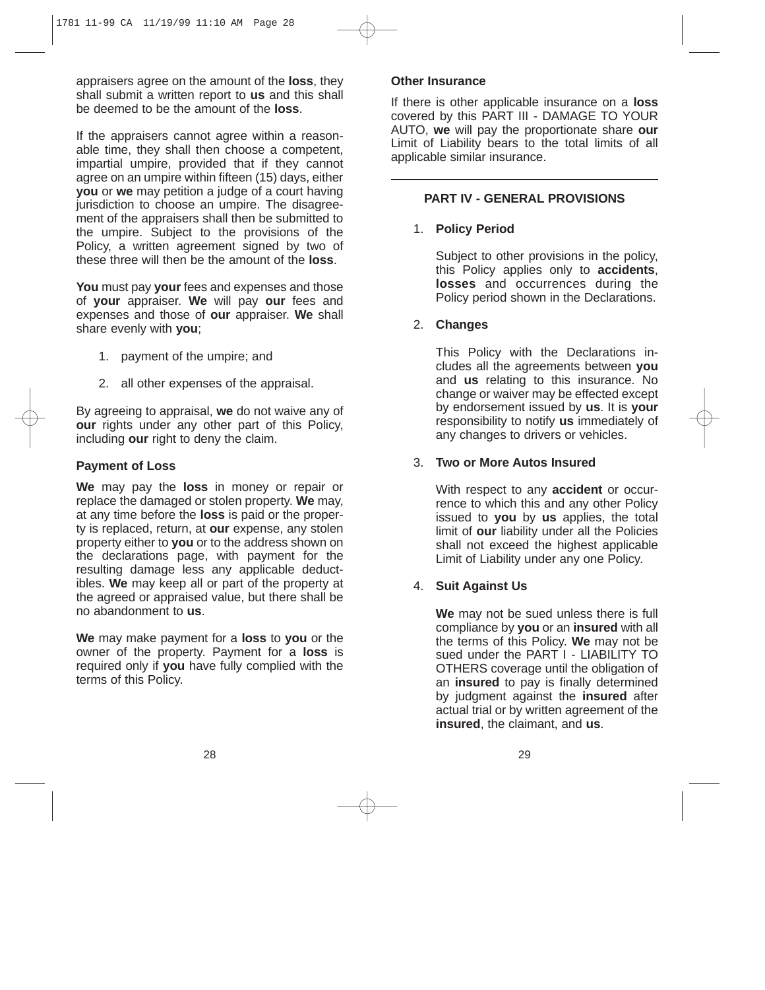appraisers agree on the amount of the **loss**, they shall submit a written report to **us** and this shall be deemed to be the amount of the **loss**.

If the appraisers cannot agree within a reasonable time, they shall then choose a competent, impartial umpire, provided that if they cannot agree on an umpire within fifteen (15) days, either **you** or **we** may petition a judge of a court having jurisdiction to choose an umpire. The disagreement of the appraisers shall then be submitted to the umpire. Subject to the provisions of the Policy, a written agreement signed by two of these three will then be the amount of the **loss**.

**You** must pay **your** fees and expenses and those of **your** appraiser. **We** will pay **our** fees and expenses and those of **our** appraiser. **We** shall share evenly with **you**;

- 1. payment of the umpire; and
- 2. all other expenses of the appraisal.

By agreeing to appraisal, **we** do not waive any of **our** rights under any other part of this Policy. including **our** right to deny the claim.

## **Payment of Loss**

**We** may pay the **loss** in money or repair or replace the damaged or stolen property. **We** may, at any time before the **loss** is paid or the property is replaced, return, at **our** expense, any stolen property either to **you** or to the address shown on the declarations page, with payment for the resulting damage less any applicable deductibles. **We** may keep all or part of the property at the agreed or appraised value, but there shall be no abandonment to **us**.

**We** may make payment for a **loss** to **you** or the owner of the property. Payment for a **loss** is required only if **you** have fully complied with the terms of this Policy.

#### **Other Insurance**

If there is other applicable insurance on a **loss** covered by this PART III - DAMAGE TO YOUR AUTO, **we** will pay the proportionate share **our** Limit of Liability bears to the total limits of all applicable similar insurance.

#### **PART IV - GENERAL PROVISIONS**

1. **Policy Period**

Subject to other provisions in the policy, this Policy applies only to **accidents**, **losses** and occurrences during the Policy period shown in the Declarations.

2. **Changes**

This Policy with the Declarations includes all the agreements between **you** and **us** relating to this insurance. No change or waiver may be effected except by endorsement issued by **us**. It is **your** responsibility to notify **us** immediately of any changes to drivers or vehicles.

## 3. **Two or More Autos Insured**

With respect to any **accident** or occurrence to which this and any other Policy issued to **you** by **us** applies, the total limit of **our** liability under all the Policies shall not exceed the highest applicable Limit of Liability under any one Policy.

## 4. **Suit Against Us**

**We** may not be sued unless there is full compliance by **you** or an **insured** with all the terms of this Policy. **We** may not be sued under the PART I - LIABILITY TO OTHERS coverage until the obligation of an **insured** to pay is finally determined by judgment against the **insured** after actual trial or by written agreement of the **insured**, the claimant, and **us**.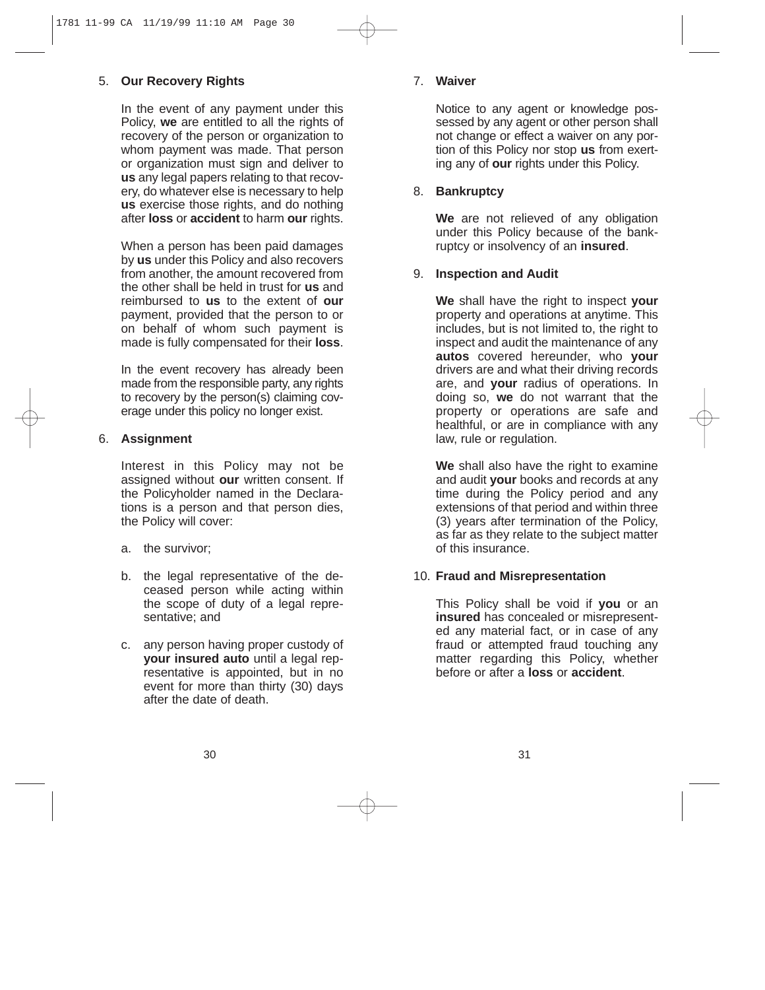# 5. **Our Recovery Rights**

In the event of any payment under this Policy, **we** are entitled to all the rights of recovery of the person or organization to whom payment was made. That person or organization must sign and deliver to **us** any legal papers relating to that recovery, do whatever else is necessary to help **us** exercise those rights, and do nothing after **loss** or **accident** to harm **our** rights.

When a person has been paid damages by **us** under this Policy and also recovers from another, the amount recovered from the other shall be held in trust for **us** and reimbursed to **us** to the extent of **our** payment, provided that the person to or on behalf of whom such payment is made is fully compensated for their **loss**.

In the event recovery has already been made from the responsible party, any rights to recovery by the person(s) claiming coverage under this policy no longer exist.

# 6. **Assignment**

Interest in this Policy may not be assigned without **our** written consent. If the Policyholder named in the Declarations is a person and that person dies, the Policy will cover:

- a. the survivor;
- b. the legal representative of the deceased person while acting within the scope of duty of a legal representative; and
- c. any person having proper custody of **your insured auto** until a legal representative is appointed, but in no event for more than thirty (30) days after the date of death.

# 7. **Waiver**

Notice to any agent or knowledge possessed by any agent or other person shall not change or effect a waiver on any portion of this Policy nor stop **us** from exerting any of **our** rights under this Policy.

# 8. **Bankruptcy**

**We** are not relieved of any obligation under this Policy because of the bankruptcy or insolvency of an **insured**.

# 9. **Inspection and Audit**

**We** shall have the right to inspect **your** property and operations at anytime. This includes, but is not limited to, the right to inspect and audit the maintenance of any **autos** covered hereunder, who **your** drivers are and what their driving records are, and **your** radius of operations. In doing so, **we** do not warrant that the property or operations are safe and healthful, or are in compliance with any law, rule or regulation.

**We** shall also have the right to examine and audit **your** books and records at any time during the Policy period and any extensions of that period and within three (3) years after termination of the Policy, as far as they relate to the subject matter of this insurance.

# 10. **Fraud and Misrepresentation**

This Policy shall be void if **you** or an **insured** has concealed or misrepresented any material fact, or in case of any fraud or attempted fraud touching any matter regarding this Policy, whether before or after a **loss** or **accident**.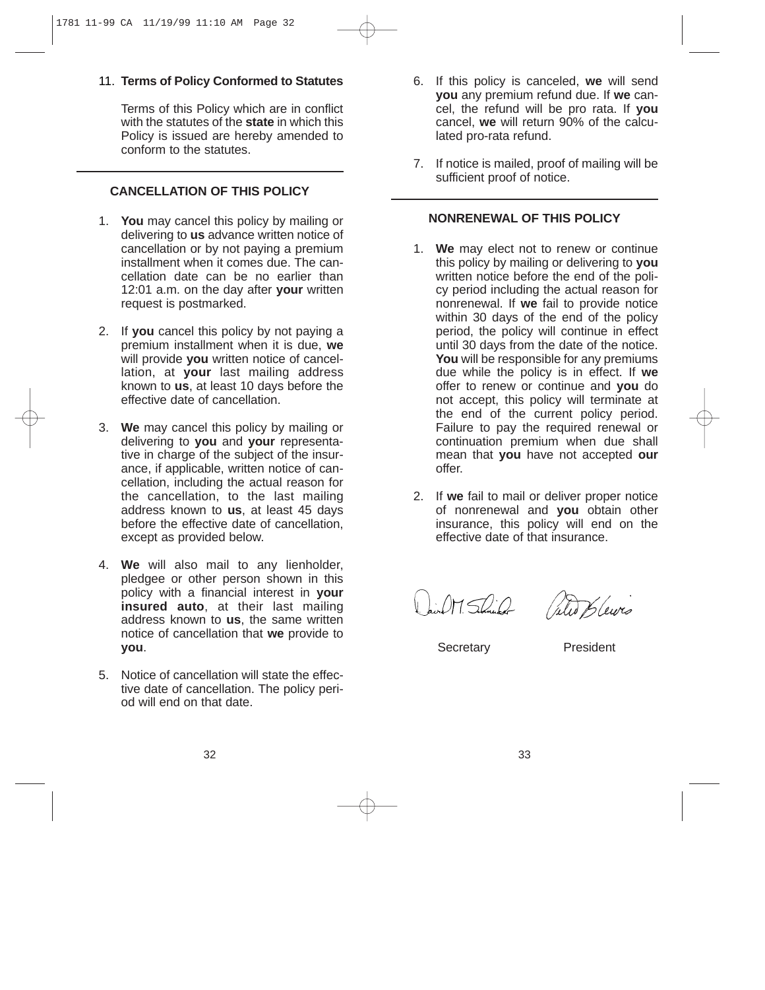## 11. **Terms of Policy Conformed to Statutes**

Terms of this Policy which are in conflict with the statutes of the **state** in which this Policy is issued are hereby amended to conform to the statutes.

# **CANCELLATION OF THIS POLICY**

- 1. **You** may cancel this policy by mailing or delivering to **us** advance written notice of cancellation or by not paying a premium installment when it comes due. The cancellation date can be no earlier than 12:01 a.m. on the day after **your** written request is postmarked.
- 2. If **you** cancel this policy by not paying a premium installment when it is due, **we** will provide **you** written notice of cancellation, at **your** last mailing address known to **us**, at least 10 days before the effective date of cancellation.
- 3. **We** may cancel this policy by mailing or delivering to **you** and **your** representative in charge of the subject of the insurance, if applicable, written notice of cancellation, including the actual reason for the cancellation, to the last mailing address known to **us**, at least 45 days before the effective date of cancellation, except as provided below.
- 4. **We** will also mail to any lienholder, pledgee or other person shown in this policy with a financial interest in **your insured auto**, at their last mailing address known to **us**, the same written notice of cancellation that **we** provide to **you**.
- 5. Notice of cancellation will state the effective date of cancellation. The policy period will end on that date.
- 6. If this policy is canceled, **we** will send **you** any premium refund due. If **we** cancel, the refund will be pro rata. If **you** cancel, **we** will return 90% of the calculated pro-rata refund.
- 7. If notice is mailed, proof of mailing will be sufficient proof of notice.

#### **NONRENEWAL OF THIS POLICY**

- 1. **We** may elect not to renew or continue this policy by mailing or delivering to **you** written notice before the end of the policy period including the actual reason for nonrenewal. If **we** fail to provide notice within 30 days of the end of the policy period, the policy will continue in effect until 30 days from the date of the notice. You will be responsible for any premiums due while the policy is in effect. If **we** offer to renew or continue and **you** do not accept, this policy will terminate at the end of the current policy period. Failure to pay the required renewal or continuation premium when due shall mean that **you** have not accepted **our** offer.
- 2. If **we** fail to mail or deliver proper notice of nonrenewal and **you** obtain other insurance, this policy will end on the effective date of that insurance.

David M. Schuler (Selet Blewes

Secretary President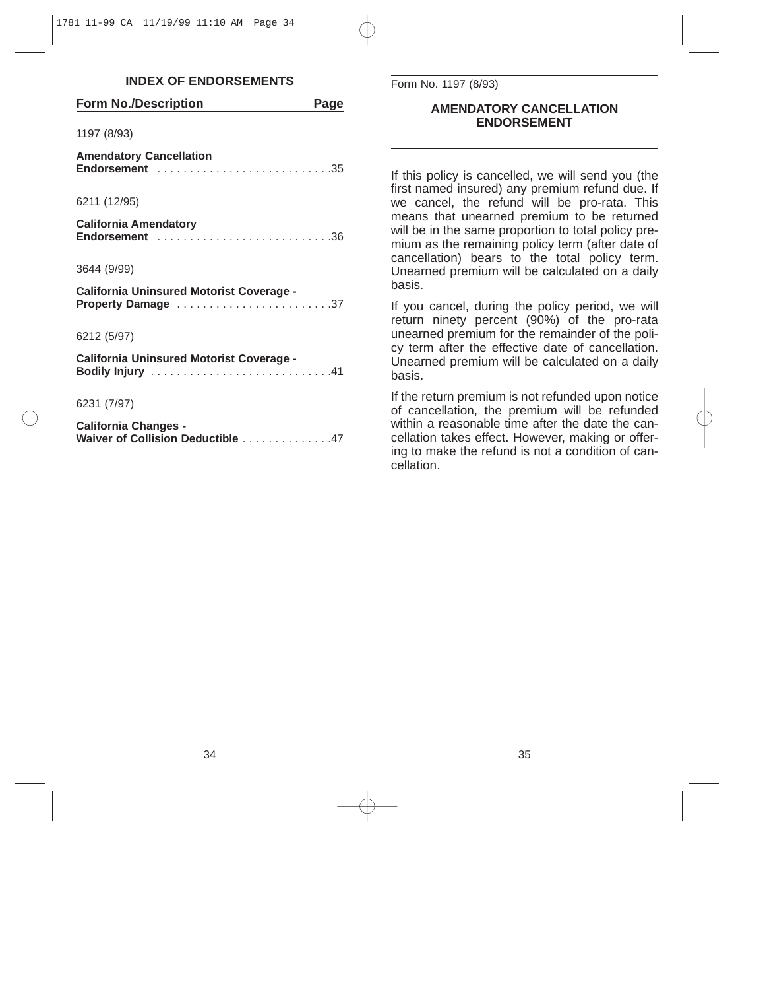#### **INDEX OF ENDORSEMENTS**

| <b>Form No./Description</b>                                                                                | Page |
|------------------------------------------------------------------------------------------------------------|------|
| 1197 (8/93)                                                                                                |      |
| <b>Amendatory Cancellation</b><br>Endorsement $\ldots \ldots \ldots \ldots \ldots \ldots \ldots \ldots 35$ |      |
| 6211 (12/95)                                                                                               |      |
| <b>California Amendatory</b><br>Endorsement 36                                                             |      |
| 3644 (9/99)                                                                                                |      |
| California Uninsured Motorist Coverage -<br>Property Damage 37                                             |      |
| 6212 (5/97)                                                                                                |      |
| California Uninsured Motorist Coverage -                                                                   |      |
| 6231 (7/97)                                                                                                |      |
| <b>California Changes -</b><br>Waiver of Collision Deductible 47                                           |      |

Form No. 1197 (8/93)

#### **AMENDATORY CANCELLATION ENDORSEMENT**

If this policy is cancelled, we will send you (the first named insured) any premium refund due. If we cancel, the refund will be pro-rata. This means that unearned premium to be returned will be in the same proportion to total policy premium as the remaining policy term (after date of cancellation) bears to the total policy term. Unearned premium will be calculated on a daily basis.

If you cancel, during the policy period, we will return ninety percent (90%) of the pro-rata unearned premium for the remainder of the policy term after the effective date of cancellation. Unearned premium will be calculated on a daily basis.

If the return premium is not refunded upon notice of cancellation, the premium will be refunded within a reasonable time after the date the cancellation takes effect. However, making or offering to make the refund is not a condition of cancellation.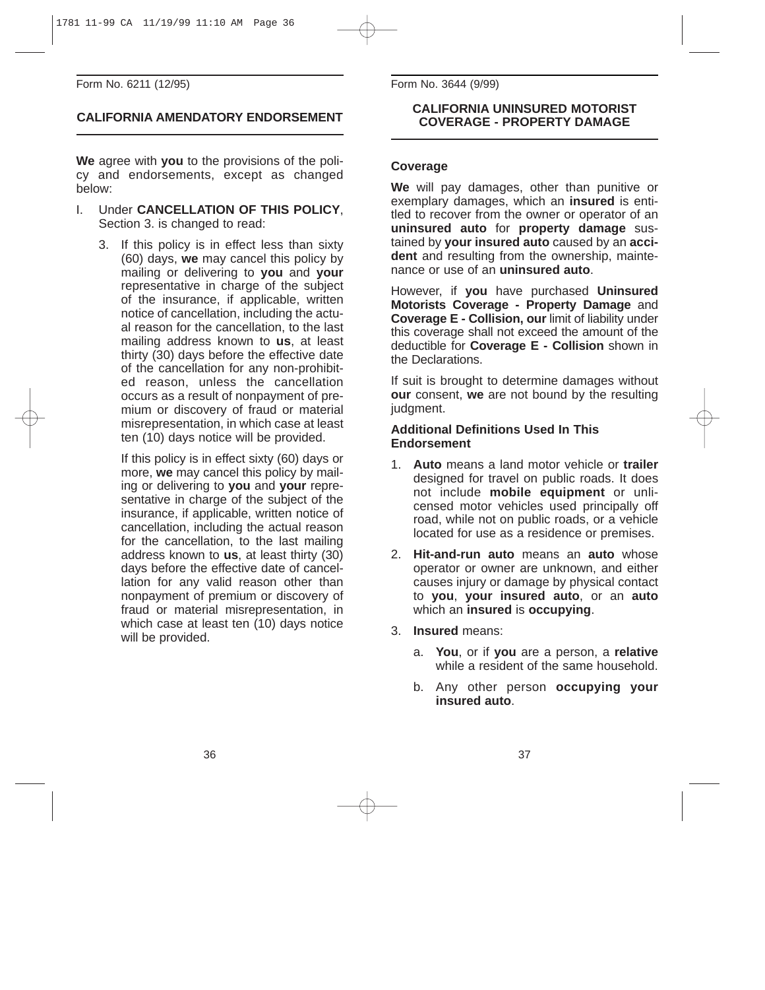Form No. 6211 (12/95)

# **CALIFORNIA AMENDATORY ENDORSEMENT**

**We** agree with **you** to the provisions of the policy and endorsements, except as changed below:

- I. Under **CANCELLATION OF THIS POLICY**, Section 3. is changed to read:
	- 3. If this policy is in effect less than sixty (60) days, **we** may cancel this policy by mailing or delivering to **you** and **your** representative in charge of the subject of the insurance, if applicable, written notice of cancellation, including the actual reason for the cancellation, to the last mailing address known to **us**, at least thirty (30) days before the effective date of the cancellation for any non-prohibited reason, unless the cancellation occurs as a result of nonpayment of premium or discovery of fraud or material misrepresentation, in which case at least ten (10) days notice will be provided.

If this policy is in effect sixty (60) days or more, **we** may cancel this policy by mailing or delivering to **you** and **your** representative in charge of the subject of the insurance, if applicable, written notice of cancellation, including the actual reason for the cancellation, to the last mailing address known to **us**, at least thirty (30) days before the effective date of cancellation for any valid reason other than nonpayment of premium or discovery of fraud or material misrepresentation, in which case at least ten (10) days notice will be provided.

Form No. 3644 (9/99)

#### **CALIFORNIA UNINSURED MOTORIST COVERAGE - PROPERTY DAMAGE**

#### **Coverage**

**We** will pay damages, other than punitive or exemplary damages, which an **insured** is entitled to recover from the owner or operator of an **uninsured auto** for **property damage** sustained by **your insured auto** caused by an **accident** and resulting from the ownership, maintenance or use of an **uninsured auto**.

However, if **you** have purchased **Uninsured Motorists Coverage - Property Damage** and **Coverage E - Collision, our** limit of liability under this coverage shall not exceed the amount of the deductible for **Coverage E - Collision** shown in the Declarations.

If suit is brought to determine damages without **our** consent, **we** are not bound by the resulting judgment.

#### **Additional Definitions Used In This Endorsement**

- 1. **Auto** means a land motor vehicle or **trailer** designed for travel on public roads. It does not include **mobile equipment** or unlicensed motor vehicles used principally off road, while not on public roads, or a vehicle located for use as a residence or premises.
- 2. **Hit-and-run auto** means an **auto** whose operator or owner are unknown, and either causes injury or damage by physical contact to **you**, **your insured auto**, or an **auto** which an **insured** is **occupying**.
- 3. **Insured** means:
	- a. **You**, or if **you** are a person, a **relative** while a resident of the same household.
	- b. Any other person **occupying your insured auto**.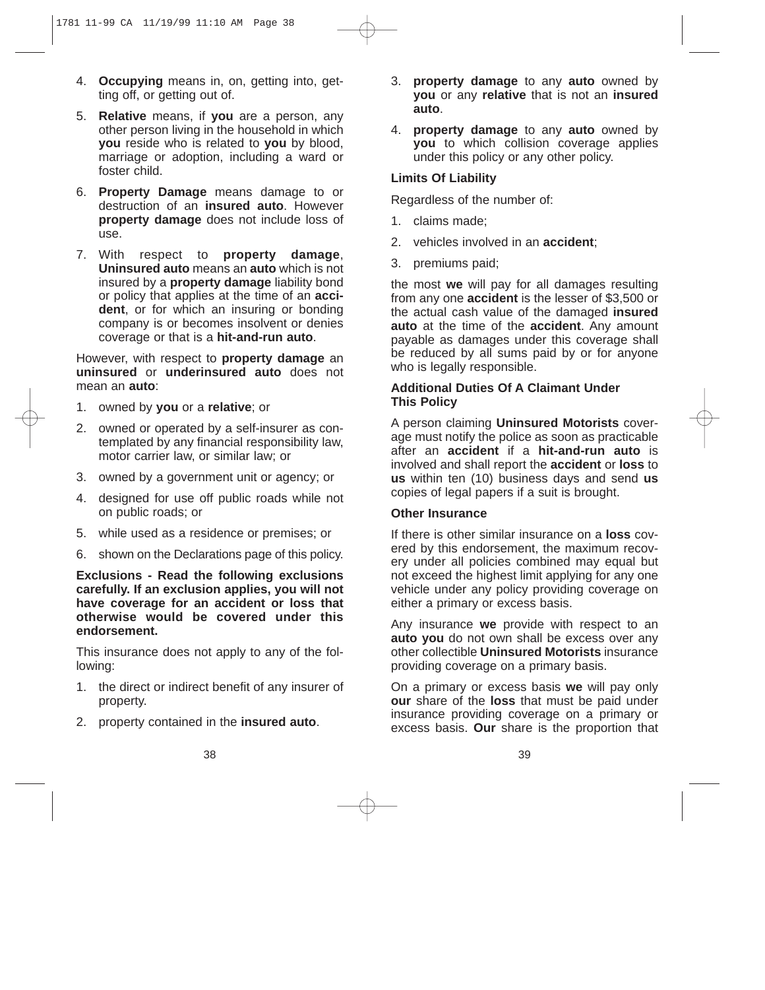- 4. **Occupying** means in, on, getting into, getting off, or getting out of.
- 5. **Relative** means, if **you** are a person, any other person living in the household in which **you** reside who is related to **you** by blood, marriage or adoption, including a ward or foster child.
- 6. **Property Damage** means damage to or destruction of an **insured auto**. However **property damage** does not include loss of use.
- 7. With respect to **property damage**, **Uninsured auto** means an **auto** which is not insured by a **property damage** liability bond or policy that applies at the time of an **accident**, or for which an insuring or bonding company is or becomes insolvent or denies coverage or that is a **hit-and-run auto**.

However, with respect to **property damage** an **uninsured** or **underinsured auto** does not mean an **auto**:

- 1. owned by **you** or a **relative**; or
- 2. owned or operated by a self-insurer as contemplated by any financial responsibility law, motor carrier law, or similar law; or
- 3. owned by a government unit or agency; or
- 4. designed for use off public roads while not on public roads; or
- 5. while used as a residence or premises; or
- 6. shown on the Declarations page of this policy.

**Exclusions - Read the following exclusions carefully. If an exclusion applies, you will not have coverage for an accident or loss that otherwise would be covered under this endorsement.**

This insurance does not apply to any of the following:

- 1. the direct or indirect benefit of any insurer of property.
- 2. property contained in the **insured auto**.
- 3. **property damage** to any **auto** owned by **you** or any **relative** that is not an **insured auto**.
- 4. **property damage** to any **auto** owned by **you** to which collision coverage applies under this policy or any other policy.

#### **Limits Of Liability**

Regardless of the number of:

- 1. claims made;
- 2. vehicles involved in an **accident**;
- 3. premiums paid;

the most **we** will pay for all damages resulting from any one **accident** is the lesser of \$3,500 or the actual cash value of the damaged **insured auto** at the time of the **accident**. Any amount payable as damages under this coverage shall be reduced by all sums paid by or for anyone who is legally responsible.

#### **Additional Duties Of A Claimant Under This Policy**

A person claiming **Uninsured Motorists** coverage must notify the police as soon as practicable after an **accident** if a **hit-and-run auto** is involved and shall report the **accident** or **loss** to **us** within ten (10) business days and send **us** copies of legal papers if a suit is brought.

#### **Other Insurance**

If there is other similar insurance on a **loss** covered by this endorsement, the maximum recovery under all policies combined may equal but not exceed the highest limit applying for any one vehicle under any policy providing coverage on either a primary or excess basis.

Any insurance **we** provide with respect to an **auto you** do not own shall be excess over any other collectible **Uninsured Motorists** insurance providing coverage on a primary basis.

On a primary or excess basis **we** will pay only **our** share of the **loss** that must be paid under insurance providing coverage on a primary or excess basis. **Our** share is the proportion that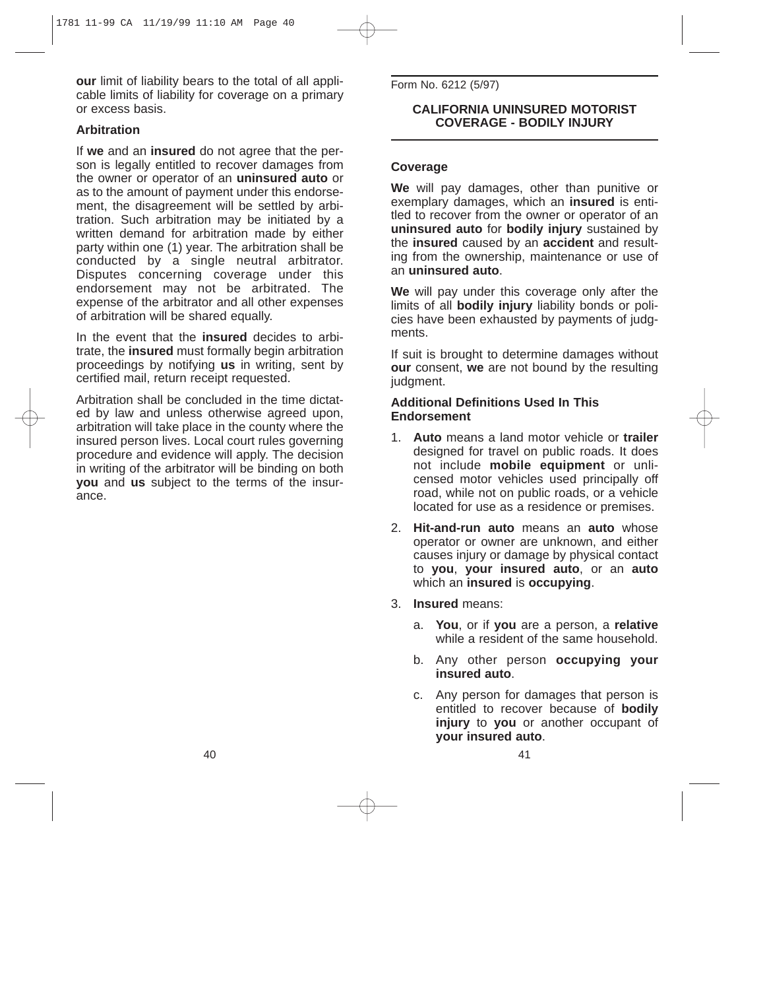**our** limit of liability bears to the total of all applicable limits of liability for coverage on a primary or excess basis.

#### **Arbitration**

If **we** and an **insured** do not agree that the person is legally entitled to recover damages from the owner or operator of an **uninsured auto** or as to the amount of payment under this endorsement, the disagreement will be settled by arbitration. Such arbitration may be initiated by a written demand for arbitration made by either party within one (1) year. The arbitration shall be conducted by a single neutral arbitrator. Disputes concerning coverage under this endorsement may not be arbitrated. The expense of the arbitrator and all other expenses of arbitration will be shared equally.

In the event that the **insured** decides to arbitrate, the **insured** must formally begin arbitration proceedings by notifying **us** in writing, sent by certified mail, return receipt requested.

Arbitration shall be concluded in the time dictated by law and unless otherwise agreed upon, arbitration will take place in the county where the insured person lives. Local court rules governing procedure and evidence will apply. The decision in writing of the arbitrator will be binding on both **you** and **us** subject to the terms of the insurance.

Form No. 6212 (5/97)

#### **CALIFORNIA UNINSURED MOTORIST COVERAGE - BODILY INJURY**

#### **Coverage**

**We** will pay damages, other than punitive or exemplary damages, which an **insured** is entitled to recover from the owner or operator of an **uninsured auto** for **bodily injury** sustained by the **insured** caused by an **accident** and resulting from the ownership, maintenance or use of an **uninsured auto**.

**We** will pay under this coverage only after the limits of all **bodily injury** liability bonds or policies have been exhausted by payments of judgments.

If suit is brought to determine damages without **our** consent, **we** are not bound by the resulting judament.

#### **Additional Definitions Used In This Endorsement**

- 1. **Auto** means a land motor vehicle or **trailer** designed for travel on public roads. It does not include **mobile equipment** or unlicensed motor vehicles used principally off road, while not on public roads, or a vehicle located for use as a residence or premises.
- 2. **Hit-and-run auto** means an **auto** whose operator or owner are unknown, and either causes injury or damage by physical contact to **you**, **your insured auto**, or an **auto** which an **insured** is **occupying**.
- 3. **Insured** means:
	- a. **You**, or if **you** are a person, a **relative** while a resident of the same household.
	- b. Any other person **occupying your insured auto**.
	- c. Any person for damages that person is entitled to recover because of **bodily injury** to **you** or another occupant of **your insured auto**.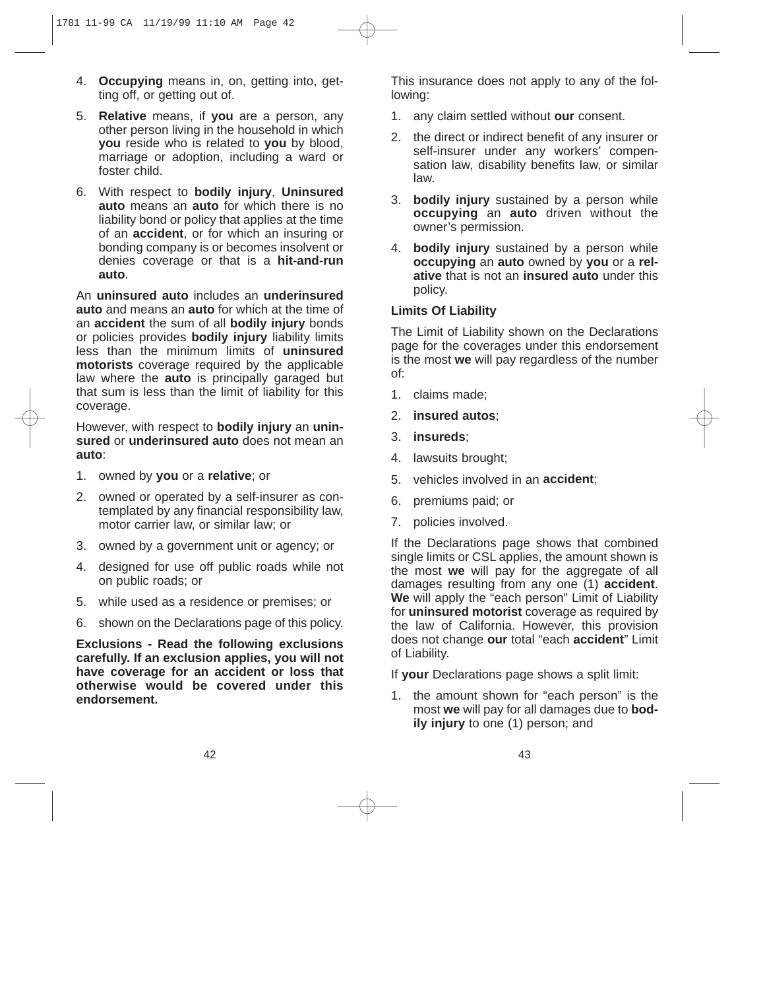- 4. **Occupying** means in, on, getting into, getting off, or getting out of.
- 5. **Relative** means, if **you** are a person, any other person living in the household in which **you** reside who is related to **you** by blood, marriage or adoption, including a ward or foster child.
- 6. With respect to **bodily injury**, **Uninsured auto** means an **auto** for which there is no liability bond or policy that applies at the time of an **accident**, or for which an insuring or bonding company is or becomes insolvent or denies coverage or that is a **hit-and-run auto**.

An **uninsured auto** includes an **underinsured auto** and means an **auto** for which at the time of an **accident** the sum of all **bodily injury** bonds or policies provides **bodily injury** liability limits less than the minimum limits of **uninsured motorists** coverage required by the applicable law where the **auto** is principally garaged but that sum is less than the limit of liability for this coverage.

However, with respect to **bodily injury** an **uninsured** or **underinsured auto** does not mean an **auto**:

- 1. owned by **you** or a **relative**; or
- 2. owned or operated by a self-insurer as contemplated by any financial responsibility law, motor carrier law, or similar law; or
- 3. owned by a government unit or agency; or
- 4. designed for use off public roads while not on public roads; or
- 5. while used as a residence or premises; or
- 6. shown on the Declarations page of this policy.

**Exclusions - Read the following exclusions carefully. If an exclusion applies, you will not have coverage for an accident or loss that otherwise would be covered under this endorsement.**

This insurance does not apply to any of the following:

- 1. any claim settled without **our** consent.
- 2. the direct or indirect benefit of any insurer or self-insurer under any workers' compensation law, disability benefits law, or similar law.
- 3. **bodily injury** sustained by a person while **occupying** an **auto** driven without the owner's permission.
- 4. **bodily injury** sustained by a person while **occupying** an **auto** owned by **you** or a **relative** that is not an **insured auto** under this policy.

#### **Limits Of Liability**

The Limit of Liability shown on the Declarations page for the coverages under this endorsement is the most **we** will pay regardless of the number of:

- 1. claims made;
- 2. **insured autos**;
- 3. **insureds**;
- 4. lawsuits brought;
- 5. vehicles involved in an **accident**;
- 6. premiums paid; or
- 7. policies involved.

If the Declarations page shows that combined single limits or CSL applies, the amount shown is the most **we** will pay for the aggregate of all damages resulting from any one (1) **accident**. **We** will apply the "each person" Limit of Liability for **uninsured motorist** coverage as required by the law of California. However, this provision does not change **our** total "each **accident**" Limit of Liability.

If **your** Declarations page shows a split limit:

1. the amount shown for "each person" is the most **we** will pay for all damages due to **bodily injury** to one (1) person; and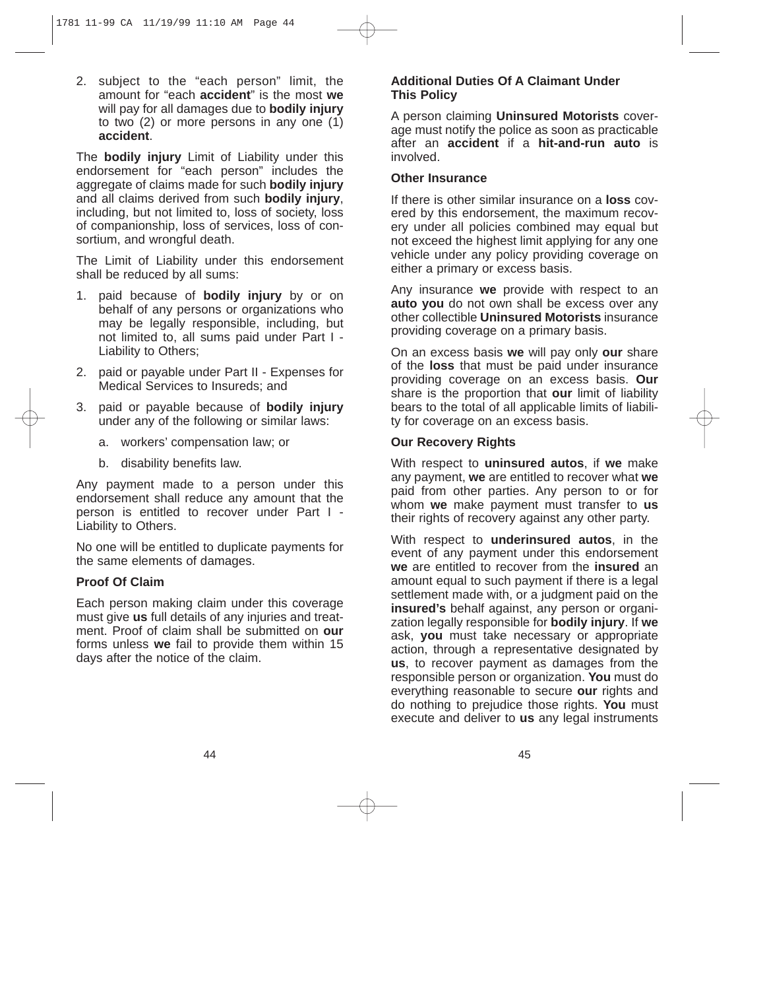2. subject to the "each person" limit, the amount for "each **accident**" is the most **we** will pay for all damages due to **bodily injury** to two (2) or more persons in any one (1) **accident**.

The **bodily injury** Limit of Liability under this endorsement for "each person" includes the aggregate of claims made for such **bodily injury** and all claims derived from such **bodily injury**, including, but not limited to, loss of society, loss of companionship, loss of services, loss of consortium, and wrongful death.

The Limit of Liability under this endorsement shall be reduced by all sums:

- 1. paid because of **bodily injury** by or on behalf of any persons or organizations who may be legally responsible, including, but not limited to, all sums paid under Part I - Liability to Others;
- 2. paid or payable under Part II Expenses for Medical Services to Insureds; and
- 3. paid or payable because of **bodily injury** under any of the following or similar laws:
	- a. workers' compensation law; or
	- b. disability benefits law.

Any payment made to a person under this endorsement shall reduce any amount that the person is entitled to recover under Part I - Liability to Others.

No one will be entitled to duplicate payments for the same elements of damages.

## **Proof Of Claim**

Each person making claim under this coverage must give **us** full details of any injuries and treatment. Proof of claim shall be submitted on **our** forms unless **we** fail to provide them within 15 days after the notice of the claim.

## **Additional Duties Of A Claimant Under This Policy**

A person claiming **Uninsured Motorists** coverage must notify the police as soon as practicable after an **accident** if a **hit-and-run auto** is involved.

#### **Other Insurance**

If there is other similar insurance on a **loss** covered by this endorsement, the maximum recovery under all policies combined may equal but not exceed the highest limit applying for any one vehicle under any policy providing coverage on either a primary or excess basis.

Any insurance **we** provide with respect to an **auto you** do not own shall be excess over any other collectible **Uninsured Motorists** insurance providing coverage on a primary basis.

On an excess basis **we** will pay only **our** share of the **loss** that must be paid under insurance providing coverage on an excess basis. **Our** share is the proportion that **our** limit of liability bears to the total of all applicable limits of liability for coverage on an excess basis.

## **Our Recovery Rights**

With respect to **uninsured autos**, if **we** make any payment, **we** are entitled to recover what **we** paid from other parties. Any person to or for whom **we** make payment must transfer to **us** their rights of recovery against any other party.

With respect to **underinsured autos**, in the event of any payment under this endorsement **we** are entitled to recover from the **insured** an amount equal to such payment if there is a legal settlement made with, or a judgment paid on the **insured's** behalf against, any person or organization legally responsible for **bodily injury**. If **we** ask, **you** must take necessary or appropriate action, through a representative designated by **us**, to recover payment as damages from the responsible person or organization. **You** must do everything reasonable to secure **our** rights and do nothing to prejudice those rights. **You** must execute and deliver to **us** any legal instruments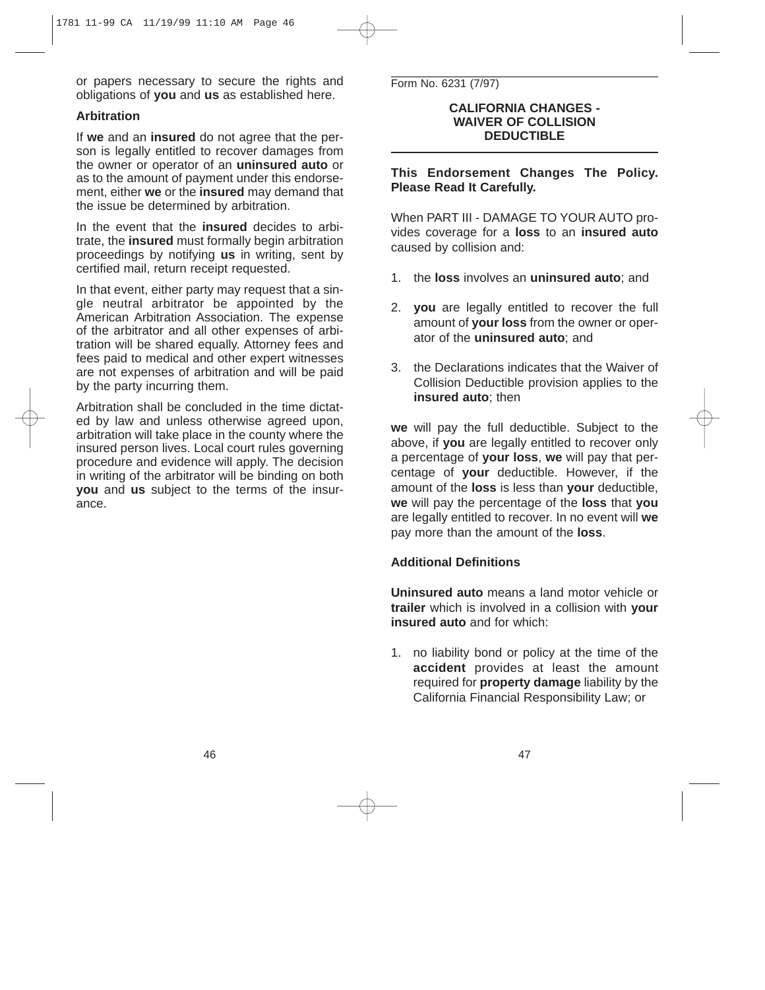or papers necessary to secure the rights and obligations of **you** and **us** as established here.

## **Arbitration**

If **we** and an **insured** do not agree that the person is legally entitled to recover damages from the owner or operator of an **uninsured auto** or as to the amount of payment under this endorsement, either **we** or the **insured** may demand that the issue be determined by arbitration.

In the event that the **insured** decides to arbitrate, the **insured** must formally begin arbitration proceedings by notifying **us** in writing, sent by certified mail, return receipt requested.

In that event, either party may request that a single neutral arbitrator be appointed by the American Arbitration Association. The expense of the arbitrator and all other expenses of arbitration will be shared equally. Attorney fees and fees paid to medical and other expert witnesses are not expenses of arbitration and will be paid by the party incurring them.

Arbitration shall be concluded in the time dictated by law and unless otherwise agreed upon, arbitration will take place in the county where the insured person lives. Local court rules governing procedure and evidence will apply. The decision in writing of the arbitrator will be binding on both **you** and **us** subject to the terms of the insurance.

Form No. 6231 (7/97)

#### **CALIFORNIA CHANGES - WAIVER OF COLLISION DEDUCTIBLE**

**This Endorsement Changes The Policy. Please Read It Carefully.**

When PART III - DAMAGE TO YOUR AUTO provides coverage for a **loss** to an **insured auto** caused by collision and:

- 1. the **loss** involves an **uninsured auto**; and
- 2. **you** are legally entitled to recover the full amount of **your loss** from the owner or operator of the **uninsured auto**; and
- 3. the Declarations indicates that the Waiver of Collision Deductible provision applies to the **insured auto**; then

**we** will pay the full deductible. Subject to the above, if **you** are legally entitled to recover only a percentage of **your loss**, **we** will pay that percentage of **your** deductible. However, if the amount of the **loss** is less than **your** deductible, **we** will pay the percentage of the **loss** that **you** are legally entitled to recover. In no event will **we** pay more than the amount of the **loss**.

# **Additional Definitions**

**Uninsured auto** means a land motor vehicle or **trailer** which is involved in a collision with **your insured auto** and for which:

1. no liability bond or policy at the time of the **accident** provides at least the amount required for **property damage** liability by the California Financial Responsibility Law; or